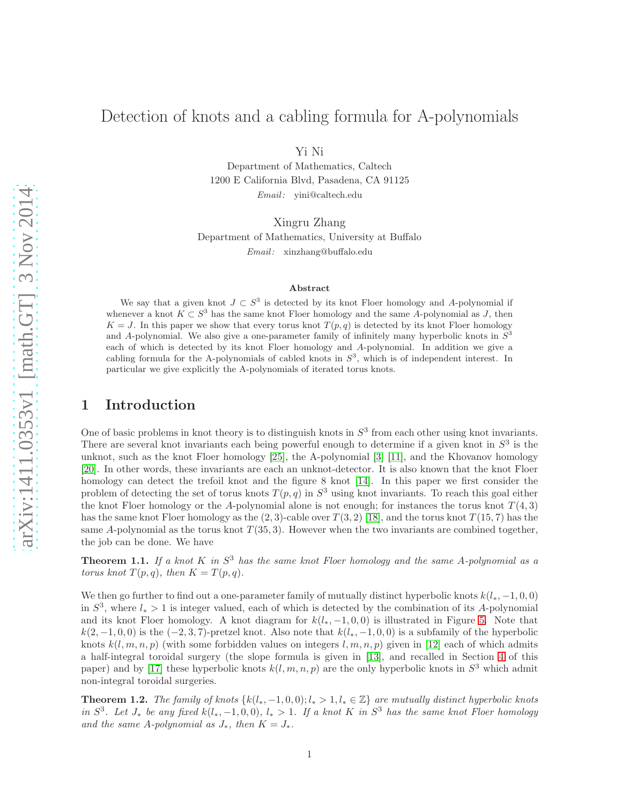## Detection of knots and a cabling formula for A-polynomials

Yi Ni

Department of Mathematics, Caltech 1200 E California Blvd, Pasadena, CA 91125 Email: yini@caltech.edu

Xingru Zhang Department of Mathematics, University at Buffalo Email: xinzhang@buffalo.edu

#### Abstract

We say that a given knot  $J \subset S^3$  is detected by its knot Floer homology and A-polynomial if whenever a knot  $K \subset S^3$  has the same knot Floer homology and the same A-polynomial as J, then  $K = J$ . In this paper we show that every torus knot  $T(p,q)$  is detected by its knot Floer homology and A-polynomial. We also give a one-parameter family of infinitely many hyperbolic knots in  $S^3$ each of which is detected by its knot Floer homology and A-polynomial. In addition we give a cabling formula for the A-polynomials of cabled knots in  $S^3$ , which is of independent interest. In particular we give explicitly the A-polynomials of iterated torus knots.

## 1 Introduction

One of basic problems in knot theory is to distinguish knots in  $S<sup>3</sup>$  from each other using knot invariants. There are several knot invariants each being powerful enough to determine if a given knot in  $S<sup>3</sup>$  is the unknot, such as the knot Floer homology [\[25\]](#page-28-0), the A-polynomial [\[3\]](#page-27-0) [\[11\]](#page-28-1), and the Khovanov homology [\[20\]](#page-28-2). In other words, these invariants are each an unknot-detector. It is also known that the knot Floer homology can detect the trefoil knot and the figure 8 knot [\[14\]](#page-28-3). In this paper we first consider the problem of detecting the set of torus knots  $T(p,q)$  in  $S^3$  using knot invariants. To reach this goal either the knot Floer homology or the A-polynomial alone is not enough; for instances the torus knot  $T(4,3)$ has the same knot Floer homology as the  $(2, 3)$ -cable over  $T(3, 2)$  [\[18\]](#page-28-4), and the torus knot  $T(15, 7)$  has the same A-polynomial as the torus knot  $T(35,3)$ . However when the two invariants are combined together, the job can be done. We have

<span id="page-0-0"></span>**Theorem 1.1.** If a knot K in  $S^3$  has the same knot Floer homology and the same A-polynomial as a torus knot  $T(p,q)$ , then  $K = T(p,q)$ .

We then go further to find out a one-parameter family of mutually distinct hyperbolic knots  $k(l_*, -1, 0, 0)$ in  $S^3$ , where  $l_* > 1$  is integer valued, each of which is detected by the combination of its A-polynomial and its knot Floer homology. A knot diagram for  $k(l_*,-1,0,0)$  is illustrated in Figure [5.](#page-15-0) Note that  $k(2, -1, 0, 0)$  is the  $(-2, 3, 7)$ -pretzel knot. Also note that  $k(l_*, -1, 0, 0)$  is a subfamily of the hyperbolic knots  $k(l, m, n, p)$  (with some forbidden values on integers l, m, n, p) given in [\[12\]](#page-28-5) each of which admits a half-integral toroidal surgery (the slope formula is given in [\[13\]](#page-28-6), and recalled in Section [4](#page-11-0) of this paper) and by [\[17\]](#page-28-7) these hyperbolic knots  $k(l, m, n, p)$  are the only hyperbolic knots in  $S<sup>3</sup>$  which admit non-integral toroidal surgeries.

<span id="page-0-1"></span>**Theorem 1.2.** The family of knots  ${k(l_*, -1, 0, 0)}$ ;  $l_* > 1$ ,  $l_* \in \mathbb{Z}$  are mutually distinct hyperbolic knots in  $S^3$ . Let  $J_*$  be any fixed  $k(l_*,-1,0,0)$ ,  $l_* > 1$ . If a knot K in  $S^3$  has the same knot Floer homology and the same A-polynomial as  $J_*$ , then  $K = J_*$ .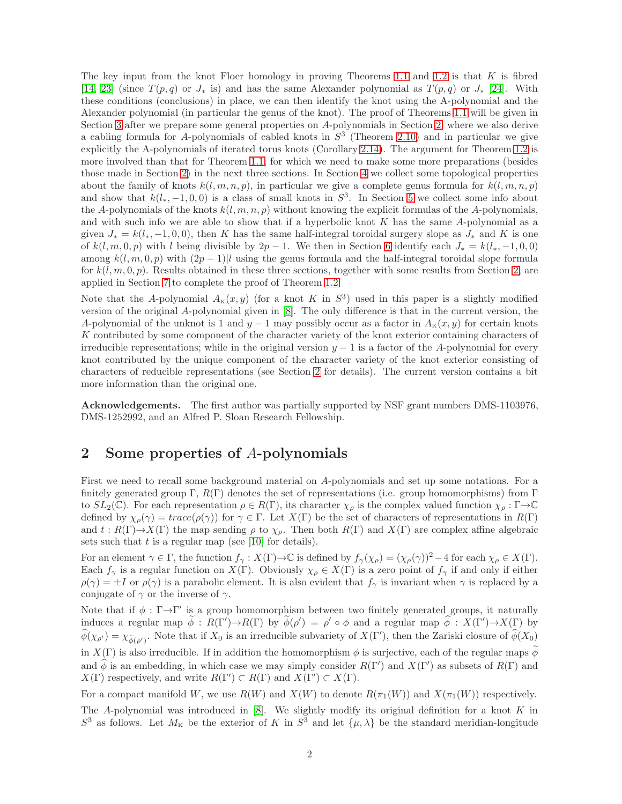The key input from the knot Floer homology in proving Theorems [1.1](#page-0-0) and [1.2](#page-0-1) is that  $K$  is fibred [\[14,](#page-28-3) [23\]](#page-28-8) (since  $T(p,q)$  or  $J_*$  is) and has the same Alexander polynomial as  $T(p,q)$  or  $J_*$  [\[24\]](#page-28-9). With these conditions (conclusions) in place, we can then identify the knot using the A-polynomial and the Alexander polynomial (in particular the genus of the knot). The proof of Theorems [1.1](#page-0-0) will be given in Section [3](#page-10-0) after we prepare some general properties on A-polynomials in Section [2,](#page-1-0) where we also derive a cabling formula for A-polynomials of cabled knots in  $S<sup>3</sup>$  (Theorem [2.10\)](#page-6-0) and in particular we give explicitly the A-polynomials of iterated torus knots (Corollary [2.14\)](#page-9-0). The argument for Theorem [1.2](#page-0-1) is more involved than that for Theorem [1.1,](#page-0-0) for which we need to make some more preparations (besides those made in Section [2\)](#page-1-0) in the next three sections. In Section [4](#page-11-0) we collect some topological properties about the family of knots  $k(l, m, n, p)$ , in particular we give a complete genus formula for  $k(l, m, n, p)$ and show that  $k(l_*,-1,0,0)$  is a class of small knots in  $S^3$ . In Section [5](#page-15-1) we collect some info about the A-polynomials of the knots  $k(l, m, n, p)$  without knowing the explicit formulas of the A-polynomials, and with such info we are able to show that if a hyperbolic knot K has the same A-polynomial as a given  $J_* = k(l_*,-1,0,0)$ , then K has the same half-integral toroidal surgery slope as  $J_*$  and K is one of  $k(l, m, 0, p)$  with l being divisible by  $2p - 1$ . We then in Section [6](#page-20-0) identify each  $J_* = k(l_*, -1, 0, 0)$ among  $k(l, m, 0, p)$  with  $(2p - 1)l$  using the genus formula and the half-integral toroidal slope formula for  $k(l, m, 0, p)$ . Results obtained in these three sections, together with some results from Section [2,](#page-1-0) are applied in Section [7](#page-24-0) to complete the proof of Theorem [1.2.](#page-0-1)

Note that the A-polynomial  $A_{\kappa}(x, y)$  (for a knot K in  $S^3$ ) used in this paper is a slightly modified version of the original A-polynomial given in [\[8\]](#page-28-10). The only difference is that in the current version, the A-polynomial of the unknot is 1 and  $y - 1$  may possibly occur as a factor in  $A_K(x, y)$  for certain knots K contributed by some component of the character variety of the knot exterior containing characters of irreducible representations; while in the original version  $y - 1$  is a factor of the A-polynomial for every knot contributed by the unique component of the character variety of the knot exterior consisting of characters of reducible representations (see Section [2](#page-1-0) for details). The current version contains a bit more information than the original one.

Acknowledgements. The first author was partially supported by NSF grant numbers DMS-1103976, DMS-1252992, and an Alfred P. Sloan Research Fellowship.

## <span id="page-1-0"></span>2 Some properties of A-polynomials

First we need to recall some background material on A-polynomials and set up some notations. For a finitely generated group Γ,  $R(\Gamma)$  denotes the set of representations (i.e. group homomorphisms) from Γ to  $SL_2(\mathbb{C})$ . For each representation  $\rho \in R(\Gamma)$ , its character  $\chi_{\rho}$  is the complex valued function  $\chi_{\rho} : \Gamma \rightarrow \mathbb{C}$ defined by  $\chi_{\rho}(\gamma) = trace(\rho(\gamma))$  for  $\gamma \in \Gamma$ . Let  $X(\Gamma)$  be the set of characters of representations in  $R(\Gamma)$ and  $t : R(\Gamma) \to X(\Gamma)$  the map sending  $\rho$  to  $\chi_{\rho}$ . Then both  $R(\Gamma)$  and  $X(\Gamma)$  are complex affine algebraic sets such that  $t$  is a regular map (see [\[10\]](#page-28-11) for details).

For an element  $\gamma \in \Gamma$ , the function  $f_{\gamma}: X(\Gamma) \to \mathbb{C}$  is defined by  $f_{\gamma}(\chi_{\rho}) = (\chi_{\rho}(\gamma))^2 - 4$  for each  $\chi_{\rho} \in X(\Gamma)$ . Each  $f_\gamma$  is a regular function on  $X(\Gamma)$ . Obviously  $\chi_\rho \in X(\Gamma)$  is a zero point of  $f_\gamma$  if and only if either  $\rho(\gamma) = \pm I$  or  $\rho(\gamma)$  is a parabolic element. It is also evident that  $f_\gamma$  is invariant when  $\gamma$  is replaced by a conjugate of  $\gamma$  or the inverse of  $\gamma$ .

Note that if  $\phi : \Gamma \rightarrow \Gamma'$  is a group homomorphism between two finitely generated groups, it naturally induces a regular map  $\widetilde{\phi}$  :  $R(\Gamma') \to R(\Gamma)$  by  $\widetilde{\phi}(\rho') = \rho' \circ \phi$  and a regular map  $\widetilde{\phi}$  :  $X(\Gamma') \to X(\Gamma)$  by  $\widehat{\phi}(\chi_{\rho'}) = \chi_{\widetilde{\phi}(\rho')}$ . Note that if  $X_0$  is an irreducible subvariety of  $X(\Gamma')$ , then the Zariski closure of  $\widehat{\phi}(X_0)$ in  $X(\Gamma)$  is also irreducible. If in addition the homomorphism  $\phi$  is surjective, each of the regular maps  $\phi$ and  $\widehat{\phi}$  is an embedding, in which case we may simply consider  $R(\Gamma')$  and  $X(\Gamma')$  as subsets of  $R(\Gamma)$  and  $X(\Gamma)$  respectively, and write  $R(\Gamma') \subset R(\Gamma)$  and  $X(\Gamma') \subset X(\Gamma)$ .

For a compact manifold W, we use  $R(W)$  and  $X(W)$  to denote  $R(\pi_1(W))$  and  $X(\pi_1(W))$  respectively.

The A-polynomial was introduced in  $[8]$ . We slightly modify its original definition for a knot K in  $S^3$  as follows. Let  $M_K$  be the exterior of K in  $S^3$  and let  $\{\mu, \lambda\}$  be the standard meridian-longitude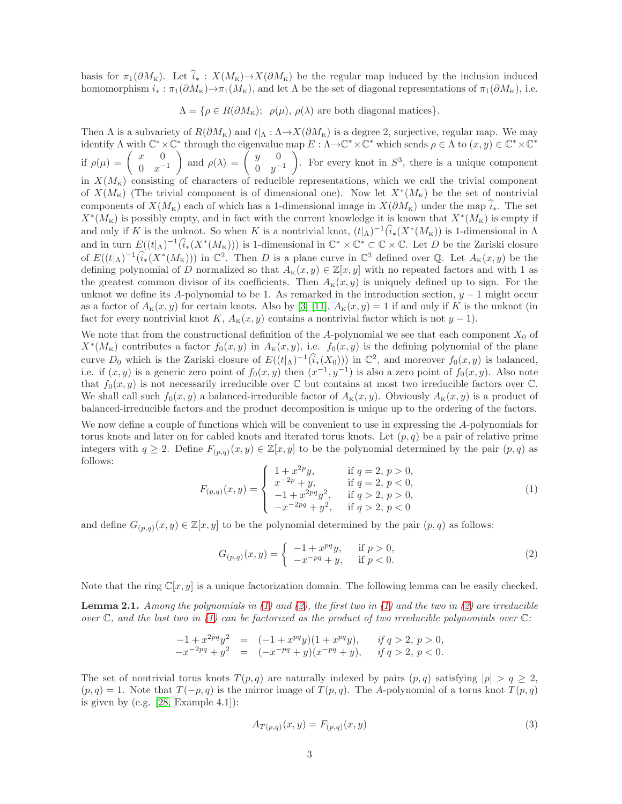basis for  $\pi_1(\partial M_K)$ . Let  $\hat{i}_* : X(M_K) \to X(\partial M_K)$  be the regular map induced by the inclusion induced homomorphism  $i_* : \pi_1(\partial M_{\mathcal{K}}) \to \pi_1(M_{\mathcal{K}})$ , and let  $\Lambda$  be the set of diagonal representations of  $\pi_1(\partial M_{\mathcal{K}})$ , i.e.

 $\Lambda = \{ \rho \in R(\partial M_{\rm K}); \ \rho(\mu), \rho(\lambda) \text{ are both diagonal matrices} \}.$ 

Then  $\Lambda$  is a subvariety of  $R(\partial M_{\kappa})$  and  $t|_{\Lambda} : \Lambda \to X(\partial M_{\kappa})$  is a degree 2, surjective, regular map. We may identify  $\Lambda$  with  $\mathbb{C}^* \times \mathbb{C}^*$  through the eigenvalue map  $E : \Lambda \to \mathbb{C}^* \times \mathbb{C}^*$  which sends  $\rho \in \Lambda$  to  $(x, y) \in \mathbb{C}^* \times \mathbb{C}^*$ if  $\rho(\mu) = \begin{pmatrix} x & 0 \\ 0 & -x \end{pmatrix}$  $0 \t x^{-1}$ ) and  $\rho(\lambda) = \begin{pmatrix} y & 0 \\ 0 & z \end{pmatrix}$ 0  $y^{-1}$  $\overline{\phantom{0}}$ . For every knot in  $S^3$ , there is a unique component in  $X(M_K)$  consisting of characters of reducible representations, which we call the trivial component of  $X(M_{\kappa})$  (The trivial component is of dimensional one). Now let  $X^*(M_{\kappa})$  be the set of nontrivial components of  $X(M_{\rm K})$  each of which has a 1-dimensional image in  $X(\partial M_{\rm K})$  under the map  $\hat{i}_*$ . The set  $X^*(M_K)$  is possibly empty, and in fact with the current knowledge it is known that  $X^*(M_K)$  is empty if and only if K is the unknot. So when K is a nontrivial knot,  $(t|\Lambda)^{-1}(\hat{i}_*(X^*(M_K))$  is 1-dimensional in  $\Lambda$ and in turn  $E((t|_A)^{-1}(\widehat{i}_*(X^*(M_{\kappa})))$  is 1-dimensional in  $\mathbb{C}^*\times\mathbb{C}^*\subset\mathbb{C}\times\mathbb{C}$ . Let D be the Zariski closure of  $E((t|_{\Lambda})^{-1}(\hat{i}_{*}(X^{*}(M_{K})))$  in  $\mathbb{C}^{2}$ . Then D is a plane curve in  $\mathbb{C}^{2}$  defined over  $\mathbb{Q}$ . Let  $A_{K}(x, y)$  be the defining polynomial of D normalized so that  $A_K(x, y) \in \mathbb{Z}[x, y]$  with no repeated factors and with 1 as the greatest common divisor of its coefficients. Then  $A<sub>K</sub>(x, y)$  is uniquely defined up to sign. For the unknot we define its A-polynomial to be 1. As remarked in the introduction section,  $y - 1$  might occur as a factor of  $A_K(x, y)$  for certain knots. Also by [\[3\]](#page-27-0) [\[11\]](#page-28-1),  $A_K(x, y) = 1$  if and only if K is the unknot (in fact for every nontrivial knot K,  $A_K(x, y)$  contains a nontrivial factor which is not  $y - 1$ ).

We note that from the constructional definition of the A-polynomial we see that each component  $X_0$  of  $X^*(M_{\kappa})$  contributes a factor  $f_0(x, y)$  in  $A_{\kappa}(x, y)$ , i.e.  $f_0(x, y)$  is the defining polynomial of the plane curve  $D_0$  which is the Zariski closure of  $E((t|_{\Lambda})^{-1}(\hat{i}_*(X_0)))$  in  $\mathbb{C}^2$ , and moreover  $f_0(x, y)$  is balanced, i.e. if  $(x, y)$  is a generic zero point of  $f_0(x, y)$  then  $(x^{-1}, y^{-1})$  is also a zero point of  $f_0(x, y)$ . Also note that  $f_0(x, y)$  is not necessarily irreducible over  $\mathbb C$  but contains at most two irreducible factors over  $\mathbb C$ . We shall call such  $f_0(x, y)$  a balanced-irreducible factor of  $A_K(x, y)$ . Obviously  $A_K(x, y)$  is a product of balanced-irreducible factors and the product decomposition is unique up to the ordering of the factors.

We now define a couple of functions which will be convenient to use in expressing the A-polynomials for torus knots and later on for cabled knots and iterated torus knots. Let  $(p, q)$  be a pair of relative prime integers with  $q \geq 2$ . Define  $F_{(p,q)}(x, y) \in \mathbb{Z}[x, y]$  to be the polynomial determined by the pair  $(p, q)$  as follows:

<span id="page-2-0"></span>
$$
F_{(p,q)}(x,y) = \begin{cases} 1 + x^{2p}y, & \text{if } q = 2, p > 0, \\ x^{-2p} + y, & \text{if } q = 2, p < 0, \\ -1 + x^{2pq}y^2, & \text{if } q > 2, p > 0, \\ -x^{-2pq} + y^2, & \text{if } q > 2, p < 0 \end{cases}
$$
(1)

and define  $G_{(p,q)}(x, y) \in \mathbb{Z}[x, y]$  to be the polynomial determined by the pair  $(p, q)$  as follows:

<span id="page-2-1"></span>
$$
G_{(p,q)}(x,y) = \begin{cases} -1 + x^{pq}y, & \text{if } p > 0, \\ -x^{-pq} + y, & \text{if } p < 0. \end{cases}
$$
 (2)

Note that the ring  $\mathbb{C}[x, y]$  is a unique factorization domain. The following lemma can be easily checked.

**Lemma 2.1.** Among the polynomials in  $(1)$  and  $(2)$ , the first two in  $(1)$  and the two in  $(2)$  are irreducible over  $\mathbb C$ , and the last two in [\(1\)](#page-2-0) can be factorized as the product of two irreducible polynomials over  $\mathbb C$ :

$$
\begin{array}{rcl}\n-1 + x^{2pq}y^2 & = & (-1 + x^{pq}y)(1 + x^{pq}y), & \text{if } q > 2, \ p > 0, \\
-x^{-2pq} + y^2 & = & (-x^{-pq} + y)(x^{-pq} + y), & \text{if } q > 2, \ p < 0.\n\end{array}
$$

The set of nontrivial torus knots  $T(p,q)$  are naturally indexed by pairs  $(p,q)$  satisfying  $|p| > q \geq 2$ ,  $(p, q) = 1$ . Note that  $T(-p, q)$  is the mirror image of  $T(p, q)$ . The A-polynomial of a torus knot  $T(p, q)$ is given by (e.g.  $[28, \text{Example } 4.1]$ ):

<span id="page-2-2"></span>
$$
A_{T(p,q)}(x,y) = F_{(p,q)}(x,y)
$$
\n(3)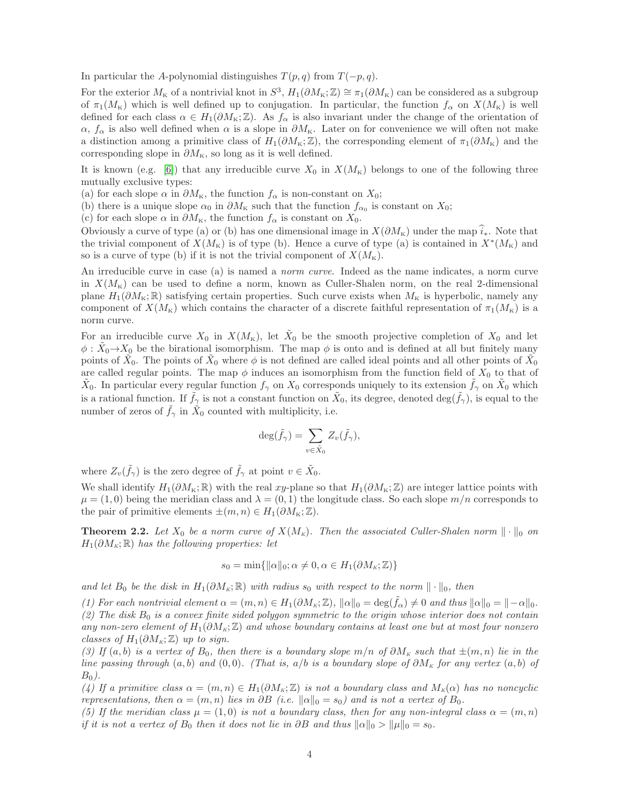In particular the A-polynomial distinguishes  $T(p, q)$  from  $T(-p, q)$ .

For the exterior  $M_{\rm K}$  of a nontrivial knot in  $S^3$ ,  $H_1(\partial M_{\rm K};\mathbb{Z})\cong \pi_1(\partial M_{\rm K})$  can be considered as a subgroup of  $\pi_1(M_K)$  which is well defined up to conjugation. In particular, the function  $f_\alpha$  on  $X(M_K)$  is well defined for each class  $\alpha \in H_1(\partial M_{\kappa}; \mathbb{Z})$ . As  $f_{\alpha}$  is also invariant under the change of the orientation of  $\alpha$ ,  $f_{\alpha}$  is also well defined when  $\alpha$  is a slope in  $\partial M_{\kappa}$ . Later on for convenience we will often not make a distinction among a primitive class of  $H_1(\partial M_{\kappa}; \mathbb{Z})$ , the corresponding element of  $\pi_1(\partial M_{\kappa})$  and the corresponding slope in  $\partial M_{\tt K},$  so long as it is well defined.

It is known (e.g. [\[6\]](#page-27-1)) that any irreducible curve  $X_0$  in  $X(M_K)$  belongs to one of the following three mutually exclusive types:

(a) for each slope  $\alpha$  in  $\partial M_{\kappa}$ , the function  $f_{\alpha}$  is non-constant on  $X_0$ ;

(b) there is a unique slope  $\alpha_0$  in  $\partial M_{\kappa}$  such that the function  $f_{\alpha_0}$  is constant on  $X_0$ ;

(c) for each slope  $\alpha$  in  $\partial M_{\kappa}$ , the function  $f_{\alpha}$  is constant on  $X_0$ .

Obviously a curve of type (a) or (b) has one dimensional image in  $X(\partial M_{\kappa})$  under the map  $\hat{i}_*$ . Note that the trivial component of  $X(M_{\kappa})$  is of type (b). Hence a curve of type (a) is contained in  $X^*(M_{\kappa})$  and so is a curve of type (b) if it is not the trivial component of  $X(M_{\rm K})$ .

An irreducible curve in case (a) is named a *norm curve*. Indeed as the name indicates, a norm curve in  $X(M_{\rm K})$  can be used to define a norm, known as Culler-Shalen norm, on the real 2-dimensional plane  $H_1(\partial M_{\rm K};\mathbb{R})$  satisfying certain properties. Such curve exists when  $M_{\rm K}$  is hyperbolic, namely any component of  $X(M_{\rm K})$  which contains the character of a discrete faithful representation of  $\pi_1(M_{\rm K})$  is a norm curve.

For an irreducible curve  $X_0$  in  $X(M_{\kappa})$ , let  $\tilde{X}_0$  be the smooth projective completion of  $X_0$  and let  $\phi$ :  $\tilde{X}_0 \rightarrow X_0$  be the birational isomorphism. The map  $\phi$  is onto and is defined at all but finitely many points of  $\tilde{X}_0$ . The points of  $\tilde{X}_0$  where  $\phi$  is not defined are called ideal points and all other points of  $\tilde{X}_0$ are called regular points. The map  $\phi$  induces an isomorphism from the function field of  $X_0$  to that of  $\tilde{X}_0$ . In particular every regular function  $f_\gamma$  on  $X_0$  corresponds uniquely to its extension  $\tilde{f}_\gamma$  on  $\tilde{X}_0$  which is a rational function. If  $\tilde{f}_{\gamma}$  is not a constant function on  $\tilde{X}_0$ , its degree, denoted  $\deg(\tilde{f}_{\gamma})$ , is equal to the number of zeros of  $\tilde{f}_{\gamma}$  in  $\tilde{X}_0$  counted with multiplicity, i.e.

$$
\deg(\tilde{f}_{\gamma}) = \sum_{v \in \tilde{X}_0} Z_v(\tilde{f}_{\gamma}),
$$

where  $Z_v(\tilde{f}_\gamma)$  is the zero degree of  $\tilde{f}_\gamma$  at point  $v \in \tilde{X}_0$ .

We shall identify  $H_1(\partial M_{\kappa}; \mathbb{R})$  with the real xy-plane so that  $H_1(\partial M_{\kappa}; \mathbb{Z})$  are integer lattice points with  $\mu = (1,0)$  being the meridian class and  $\lambda = (0,1)$  the longitude class. So each slope  $m/n$  corresponds to the pair of primitive elements  $\pm(m, n) \in H_1(\partial M_{\rm K}; \mathbb{Z}).$ 

<span id="page-3-0"></span>**Theorem 2.2.** Let  $X_0$  be a norm curve of  $X(M_K)$ . Then the associated Culler-Shalen norm  $\|\cdot\|_0$  on  $H_1(\partial M_K; \mathbb{R})$  has the following properties: let

$$
s_0 = \min\{\|\alpha\|_0; \alpha \neq 0, \alpha \in H_1(\partial M_K; \mathbb{Z})\}
$$

and let  $B_0$  be the disk in  $H_1(\partial M_K; \mathbb{R})$  with radius s<sub>0</sub> with respect to the norm  $\|\cdot\|_0$ , then

(1) For each nontrivial element  $\alpha = (m, n) \in H_1(\partial M_K; \mathbb{Z})$ ,  $\|\alpha\|_0 = \deg(\tilde{f}_{\alpha}) \neq 0$  and thus  $\|\alpha\|_0 = \|\alpha\|_0$ . (2) The disk  $B_0$  is a convex finite sided polygon symmetric to the origin whose interior does not contain any non-zero element of  $H_1(\partial M_K; \mathbb{Z})$  and whose boundary contains at least one but at most four nonzero classes of  $H_1(\partial M_\kappa;\mathbb{Z})$  up to sign.

(3) If  $(a, b)$  is a vertex of  $B_0$ , then there is a boundary slope  $m/n$  of  $\partial M_K$  such that  $\pm(m, n)$  lie in the line passing through  $(a, b)$  and  $(0, 0)$ . (That is,  $a/b$  is a boundary slope of  $\partial M_k$  for any vertex  $(a, b)$  of  $B_0$ ).

(4) If a primitive class  $\alpha = (m, n) \in H_1(\partial M_\kappa; \mathbb{Z})$  is not a boundary class and  $M_\kappa(\alpha)$  has no noncyclic representations, then  $\alpha = (m, n)$  lies in  $\partial B$  (i.e.  $\|\alpha\|_0 = s_0$ ) and is not a vertex of  $B_0$ .

(5) If the meridian class  $\mu = (1,0)$  is not a boundary class, then for any non-integral class  $\alpha = (m,n)$ if it is not a vertex of  $B_0$  then it does not lie in ∂B and thus  $||\alpha||_0 > ||\mu||_0 = s_0$ .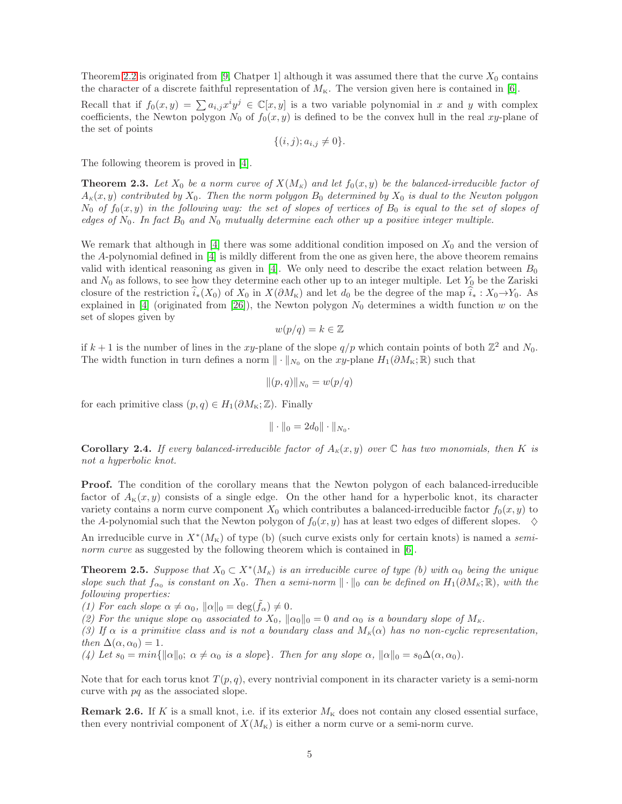Theorem [2.2](#page-3-0) is originated from [\[9,](#page-28-13) Chatper 1] although it was assumed there that the curve  $X_0$  contains the character of a discrete faithful representation of  $M_{\rm K}$ . The version given here is contained in [\[6\]](#page-27-1).

Recall that if  $f_0(x,y) = \sum a_{i,j} x^i y^j \in \mathbb{C}[x,y]$  is a two variable polynomial in x and y with complex coefficients, the Newton polygon  $N_0$  of  $f_0(x, y)$  is defined to be the convex hull in the real xy-plane of the set of points

$$
\{(i,j); a_{i,j} \neq 0\}.
$$

The following theorem is proved in [\[4\]](#page-27-2).

<span id="page-4-2"></span>**Theorem 2.3.** Let  $X_0$  be a norm curve of  $X(M_K)$  and let  $f_0(x, y)$  be the balanced-irreducible factor of  $A_K(x, y)$  contributed by  $X_0$ . Then the norm polygon  $B_0$  determined by  $X_0$  is dual to the Newton polygon  $N_0$  of  $f_0(x, y)$  in the following way: the set of slopes of vertices of  $B_0$  is equal to the set of slopes of edges of  $N_0$ . In fact  $B_0$  and  $N_0$  mutually determine each other up a positive integer multiple.

We remark that although in  $[4]$  there was some additional condition imposed on  $X_0$  and the version of the A-polynomial defined in [\[4\]](#page-27-2) is mildly different from the one as given here, the above theorem remains valid with identical reasoning as given in [\[4\]](#page-27-2). We only need to describe the exact relation between  $B_0$ and  $N_0$  as follows, to see how they determine each other up to an integer multiple. Let  $Y_0$  be the Zariski closure of the restriction  $i_*(X_0)$  of  $X_0$  in  $X(\partial M_K)$  and let  $d_0$  be the degree of the map  $i_*: X_0 \to Y_0$ . As explained in [\[4\]](#page-27-2) (originated from [\[26\]](#page-28-14)), the Newton polygon  $N_0$  determines a width function w on the set of slopes given by

$$
w(p/q) = k \in \mathbb{Z}
$$

if  $k+1$  is the number of lines in the xy-plane of the slope  $q/p$  which contain points of both  $\mathbb{Z}^2$  and  $N_0$ . The width function in turn defines a norm  $\|\cdot\|_{N_0}$  on the xy-plane  $H_1(\partial M_{\kappa}; \mathbb{R})$  such that

$$
\|(p,q)\|_{N_0} = w(p/q)
$$

for each primitive class  $(p, q) \in H_1(\partial M_{\rm K}; \mathbb{Z})$ . Finally

$$
\|\cdot\|_0 = 2d_0 \|\cdot\|_{N_0}.
$$

<span id="page-4-0"></span>**Corollary 2.4.** If every balanced-irreducible factor of  $A_K(x, y)$  over  $\mathbb C$  has two monomials, then K is not a hyperbolic knot.

**Proof.** The condition of the corollary means that the Newton polygon of each balanced-irreducible factor of  $A_K(x, y)$  consists of a single edge. On the other hand for a hyperbolic knot, its character variety contains a norm curve component  $X_0$  which contributes a balanced-irreducible factor  $f_0(x, y)$  to the A-polynomial such that the Newton polygon of  $f_0(x, y)$  has at least two edges of different slopes.  $\diamond$ 

An irreducible curve in  $X^*(M_{\kappa})$  of type (b) (such curve exists only for certain knots) is named a semi-norm curve as suggested by the following theorem which is contained in [\[6\]](#page-27-1).

<span id="page-4-1"></span>**Theorem 2.5.** Suppose that  $X_0 \subset X^*(M_K)$  is an irreducible curve of type (b) with  $\alpha_0$  being the unique slope such that  $f_{\alpha_0}$  is constant on  $X_0$ . Then a semi-norm  $\|\cdot\|_0$  can be defined on  $H_1(\partial M_K; \mathbb{R})$ , with the following properties:

(1) For each slope  $\alpha \neq \alpha_0$ ,  $\|\alpha\|_0 = \deg(f_\alpha) \neq 0$ .

(2) For the unique slope  $\alpha_0$  associated to  $X_0$ ,  $\|\alpha_0\|_0 = 0$  and  $\alpha_0$  is a boundary slope of  $M_K$ .

(3) If  $\alpha$  is a primitive class and is not a boundary class and  $M_K(\alpha)$  has no non-cyclic representation, then  $\Delta(\alpha, \alpha_0) = 1$ .

(4) Let  $s_0 = min{\| \alpha \|_0; \ \alpha \neq \alpha_0 \ \text{is a slope}}$ . Then for any slope  $\alpha$ ,  $\| \alpha \|_0 = s_0 \Delta(\alpha, \alpha_0)$ .

Note that for each torus knot  $T(p,q)$ , every nontrivial component in its character variety is a semi-norm curve with pq as the associated slope.

**Remark 2.6.** If K is a small knot, i.e. if its exterior  $M_K$  does not contain any closed essential surface, then every nontrivial component of  $X(M_{\kappa})$  is either a norm curve or a semi-norm curve.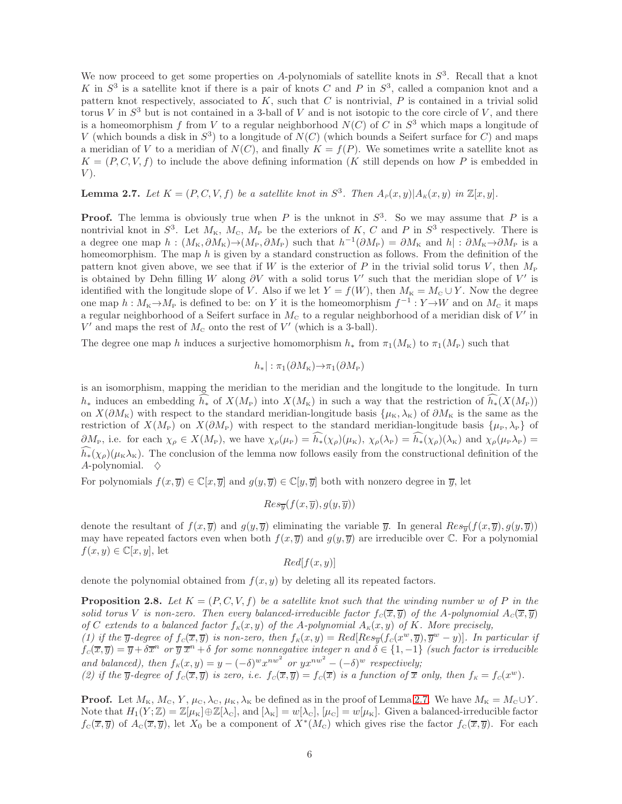We now proceed to get some properties on A-polynomials of satellite knots in  $S<sup>3</sup>$ . Recall that a knot K in  $S^3$  is a satellite knot if there is a pair of knots C and P in  $S^3$ , called a companion knot and a pattern knot respectively, associated to  $K$ , such that  $C$  is nontrivial,  $P$  is contained in a trivial solid torus V in  $S^3$  but is not contained in a 3-ball of V and is not isotopic to the core circle of V, and there is a homeomorphism f from V to a regular neighborhood  $N(C)$  of C in  $S^3$  which maps a longitude of V (which bounds a disk in  $S^3$ ) to a longitude of  $N(C)$  (which bounds a Seifert surface for C) and maps a meridian of V to a meridian of  $N(C)$ , and finally  $K = f(P)$ . We sometimes write a satellite knot as  $K = (P, C, V, f)$  to include the above defining information (K still depends on how P is embedded in  $V$ ).

<span id="page-5-0"></span>**Lemma 2.7.** Let  $K = (P, C, V, f)$  be a satellite knot in  $S^3$ . Then  $A_P(x, y) | A_K(x, y)$  in  $\mathbb{Z}[x, y]$ .

**Proof.** The lemma is obviously true when P is the unknot in  $S^3$ . So we may assume that P is a nontrivial knot in  $S^3$ . Let  $M_{\rm K}$ ,  $M_{\rm C}$ ,  $M_{\rm P}$  be the exteriors of K, C and P in  $S^3$  respectively. There is a degree one map  $h: (M_{\text{K}}, \partial M_{\text{K}}) \to (M_{\text{P}}, \partial M_{\text{P}})$  such that  $h^{-1}(\partial M_{\text{P}}) = \partial M_{\text{K}}$  and  $h|: \partial M_{\text{K}} \to \partial M_{\text{P}}$  is a homeomorphism. The map h is given by a standard construction as follows. From the definition of the pattern knot given above, we see that if W is the exterior of P in the trivial solid torus V, then  $M_{\rm P}$ is obtained by Dehn filling W along  $\partial V$  with a solid torus V' such that the meridian slope of V' is identified with the longitude slope of V. Also if we let  $Y = f(W)$ , then  $M_K = M_C \cup Y$ . Now the degree one map  $h: M_K \to M_P$  is defined to be: on Y it is the homeomorphism  $f^{-1}: Y \to W$  and on  $M_C$  it maps a regular neighborhood of a Seifert surface in  $M<sub>c</sub>$  to a regular neighborhood of a meridian disk of  $V'$  in  $V'$  and maps the rest of  $M_c$  onto the rest of  $V'$  (which is a 3-ball).

The degree one map h induces a surjective homomorphism  $h_*$  from  $\pi_1(M_{\rm K})$  to  $\pi_1(M_{\rm P})$  such that

$$
h_*|: \pi_1(\partial M_{\rm K}) \to \pi_1(\partial M_{\rm P})
$$

is an isomorphism, mapping the meridian to the meridian and the longitude to the longitude. In turn  $h_*$  induces an embedding  $\tilde{h}_*$  of  $X(M_{\rm F})$  into  $X(M_{\rm K})$  in such a way that the restriction of  $\tilde{h}_*(X(M_{\rm F}))$ on  $X(\partial M_{\kappa})$  with respect to the standard meridian-longitude basis  $\{\mu_{\kappa}, \lambda_{\kappa}\}\$  of  $\partial M_{\kappa}$  is the same as the restriction of  $X(M_P)$  on  $X(\partial M_P)$  with respect to the standard meridian-longitude basis  $\{\mu_P, \lambda_P\}$  of  $\partial M_P$ , i.e. for each  $\chi_\rho \in X(M_P)$ , we have  $\chi_\rho(\mu_P) = \widehat{h_*}(\chi_\rho)(\mu_K)$ ,  $\chi_\rho(\lambda_P) = \widehat{h_*}(\chi_\rho)(\lambda_K)$  and  $\chi_\rho(\mu_P\lambda_P) =$  $\tilde{h}_*(\chi_\rho)(\mu_K\lambda_K)$ . The conclusion of the lemma now follows easily from the constructional definition of the A-polynomial.  $\diamond$ 

For polynomials  $f(x, \overline{y}) \in \mathbb{C}[x, \overline{y}]$  and  $g(y, \overline{y}) \in \mathbb{C}[y, \overline{y}]$  both with nonzero degree in  $\overline{y}$ , let

$$
Res_{\overline{y}}(f(x,\overline{y}),g(y,\overline{y}))
$$

denote the resultant of  $f(x, \overline{y})$  and  $g(y, \overline{y})$  eliminating the variable  $\overline{y}$ . In general  $Res_{\overline{y}}(f(x, \overline{y}), g(y, \overline{y}))$ may have repeated factors even when both  $f(x, \overline{y})$  and  $g(y, \overline{y})$  are irreducible over C. For a polynomial  $f(x, y) \in \mathbb{C}[x, y]$ , let

 $Red[f(x,y)]$ 

denote the polynomial obtained from  $f(x, y)$  by deleting all its repeated factors.

<span id="page-5-1"></span>**Proposition 2.8.** Let  $K = (P, C, V, f)$  be a satellite knot such that the winding number w of P in the solid torus V is non-zero. Then every balanced-irreducible factor  $f_c(\overline{x}, \overline{y})$  of the A-polynomial  $A_c(\overline{x}, \overline{y})$ of C extends to a balanced factor  $f_K(x, y)$  of the A-polynomial  $A_K(x, y)$  of K. More precisely,

(1) if the y-degree of  $f_c(\overline{x}, \overline{y})$  is non-zero, then  $f_k(x, y) = Red[Res_{\overline{y}}(f_c(x^w, \overline{y}), \overline{y}^w - y)]$ . In particular if  $f_c(\overline{x}, \overline{y}) = \overline{y} + \delta \overline{x}^n$  or  $\overline{y} \ \overline{x}^n + \delta$  for some nonnegative integer n and  $\delta \in \{1, -1\}$  (such factor is irreducible and balanced), then  $f_K(x, y) = y - (-\delta)^w x^{nw^2}$  or  $yx^{nw^2} - (-\delta)^w$  respectively; (2) if the y-degree of  $f_c(\overline{x}, \overline{y})$  is zero, i.e.  $f_c(\overline{x}, \overline{y}) = f_c(\overline{x})$  is a function of  $\overline{x}$  only, then  $f_k = f_c(x^w)$ .

**Proof.** Let  $M_K$ ,  $M_C$ ,  $Y$ ,  $\mu_C$ ,  $\lambda_C$ ,  $\mu_K$ ,  $\lambda_K$  be defined as in the proof of Lemma [2.7.](#page-5-0) We have  $M_K = M_C \cup Y$ . Note that  $H_1(Y;\mathbb{Z})=\mathbb{Z}[\mu_K]\oplus\mathbb{Z}[\lambda_{\mathcal{C}}]$ , and  $[\lambda_K]=w[\lambda_{\mathcal{C}}], [\mu_{\mathcal{C}}]=w[\mu_K]$ . Given a balanced-irreducible factor  $f_{\rm C}(\overline{x},\overline{y})$  of  $A_{\rm C}(\overline{x},\overline{y})$ , let  $X_0$  be a component of  $X^*(M_{\rm C})$  which gives rise the factor  $f_{\rm C}(\overline{x},\overline{y})$ . For each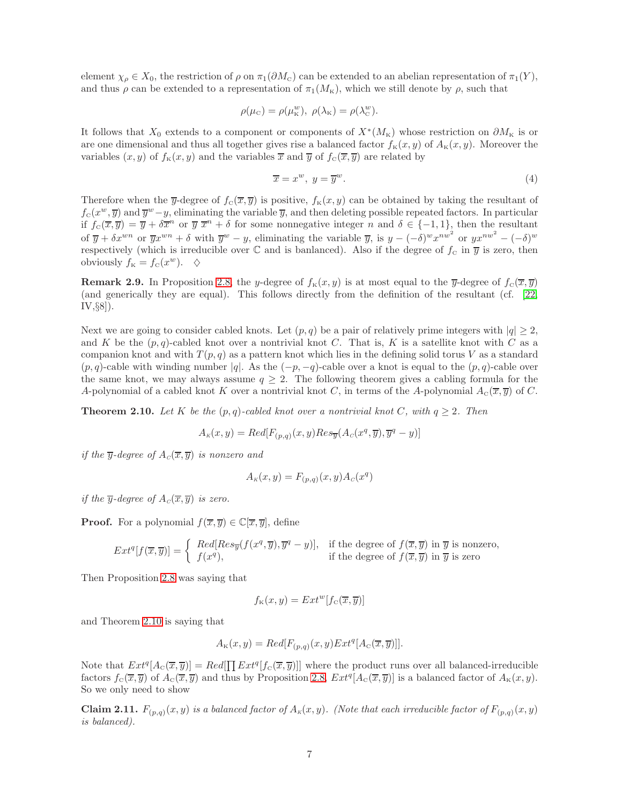element  $\chi_{\rho} \in X_0$ , the restriction of  $\rho$  on  $\pi_1(\partial M_{\rm c})$  can be extended to an abelian representation of  $\pi_1(Y)$ , and thus  $\rho$  can be extended to a representation of  $\pi_1(M_K)$ , which we still denote by  $\rho$ , such that

$$
\rho(\mu_{\rm C}) = \rho(\mu_{\rm K}^w), \ \rho(\lambda_{\rm K}) = \rho(\lambda_{\rm C}^w).
$$

It follows that  $X_0$  extends to a component or components of  $X^*(M_{\kappa})$  whose restriction on  $\partial M_{\kappa}$  is or are one dimensional and thus all together gives rise a balanced factor  $f_{\kappa}(x, y)$  of  $A_{\kappa}(x, y)$ . Moreover the variables  $(x, y)$  of  $f_{\kappa}(x, y)$  and the variables  $\overline{x}$  and  $\overline{y}$  of  $f_{\kappa}(\overline{x}, \overline{y})$  are related by

<span id="page-6-2"></span>
$$
\overline{x} = x^w, \ y = \overline{y}^w.
$$
 (4)

Therefore when the  $\overline{y}$ -degree of  $f_c(\overline{x}, \overline{y})$  is positive,  $f_k(x, y)$  can be obtained by taking the resultant of  $f_c(x^w, \overline{y})$  and  $\overline{y}^w - y$ , eliminating the variable  $\overline{y}$ , and then deleting possible repeated factors. In particular if  $f_c(\overline{x}, \overline{y}) = \overline{y} + \delta \overline{x}^n$  or  $\overline{y} \overline{x}^n + \delta$  for some nonnegative integer n and  $\delta \in \{-1, 1\}$ , then the resultant of  $\overline{y} + \delta x^{wn}$  or  $\overline{y}x^{wn} + \delta$  with  $\overline{y}^w - y$ , eliminating the variable  $\overline{y}$ , is  $y - (-\delta)^w x^{nw^2}$  or  $yx^{nw^2} - (-\delta)^w$ respectively (which is irreducible over  $\mathbb C$  and is banlanced). Also if the degree of  $f_c$  in  $\overline{y}$  is zero, then obviously  $f_{\kappa} = f_{\kappa}(x^w)$ .  $\diamond$ 

**Remark 2.9.** In Proposition [2.8,](#page-5-1) the y-degree of  $f_K(x, y)$  is at most equal to the y-degree of  $f_C(\overline{x}, \overline{y})$ (and generically they are equal). This follows directly from the definition of the resultant (cf. [\[22,](#page-28-15) IV,§8]).

Next we are going to consider cabled knots. Let  $(p, q)$  be a pair of relatively prime integers with  $|q| \geq 2$ , and K be the  $(p, q)$ -cabled knot over a nontrivial knot C. That is, K is a satellite knot with C as a companion knot and with  $T(p,q)$  as a pattern knot which lies in the defining solid torus V as a standard  $(p, q)$ -cable with winding number |q|. As the  $(-p, -q)$ -cable over a knot is equal to the  $(p, q)$ -cable over the same knot, we may always assume  $q \geq 2$ . The following theorem gives a cabling formula for the A-polynomial of a cabled knot K over a nontrivial knot C, in terms of the A-polynomial  $A_c(\overline{x}, \overline{y})$  of C.

<span id="page-6-0"></span>**Theorem 2.10.** Let K be the  $(p,q)$ -cabled knot over a nontrivial knot C, with  $q \geq 2$ . Then

$$
A_{\kappa}(x,y) = Red[F_{(p,q)}(x,y)Res_{\overline{y}}(A_{\mathcal{C}}(x^q,\overline{y}), \overline{y}^q-y)]
$$

if the  $\overline{y}$ -degree of  $A_c(\overline{x}, \overline{y})$  is nonzero and

$$
A_K(x, y) = F_{(p,q)}(x, y) A_c(x^q)
$$

if the  $\overline{y}$ -degree of  $A_C(\overline{x}, \overline{y})$  is zero.

**Proof.** For a polynomial  $f(\overline{x}, \overline{y}) \in \mathbb{C}[\overline{x}, \overline{y}]$ , define

$$
Ext^q[f(\overline{x}, \overline{y})] = \begin{cases} Red[Res_{\overline{y}}(f(x^q, \overline{y}), \overline{y}^q - y)], & \text{if the degree of } f(\overline{x}, \overline{y}) \text{ in } \overline{y} \text{ is nonzero,} \\ f(x^q), & \text{if the degree of } f(\overline{x}, \overline{y}) \text{ in } \overline{y} \text{ is zero} \end{cases}
$$

Then Proposition [2.8](#page-5-1) was saying that

$$
f_{\kappa}(x,y) = Ext^{w}[f_{\kappa}(\overline{x},\overline{y})]
$$

and Theorem [2.10](#page-6-0) is saying that

$$
A_{\kappa}(x, y) = Red[F_{(p,q)}(x, y)Ext^{q}[A_{\rm C}(\overline{x}, \overline{y})]].
$$

Note that  $Ext^q[A_c(\overline{x}, \overline{y})] = Red[\prod Ext^q[f_c(\overline{x}, \overline{y})]]$  where the product runs over all balanced-irreducible factors  $f_c(\overline{x}, \overline{y})$  of  $A_c(\overline{x}, \overline{y})$  and thus by Proposition [2.8,](#page-5-1)  $Ext^q[A_c(\overline{x}, \overline{y})]$  is a balanced factor of  $A_{\kappa}(x, y)$ . So we only need to show

<span id="page-6-1"></span>**Claim 2.11.**  $F_{(p,q)}(x,y)$  is a balanced factor of  $A_k(x,y)$ . (Note that each irreducible factor of  $F_{(p,q)}(x,y)$ is balanced).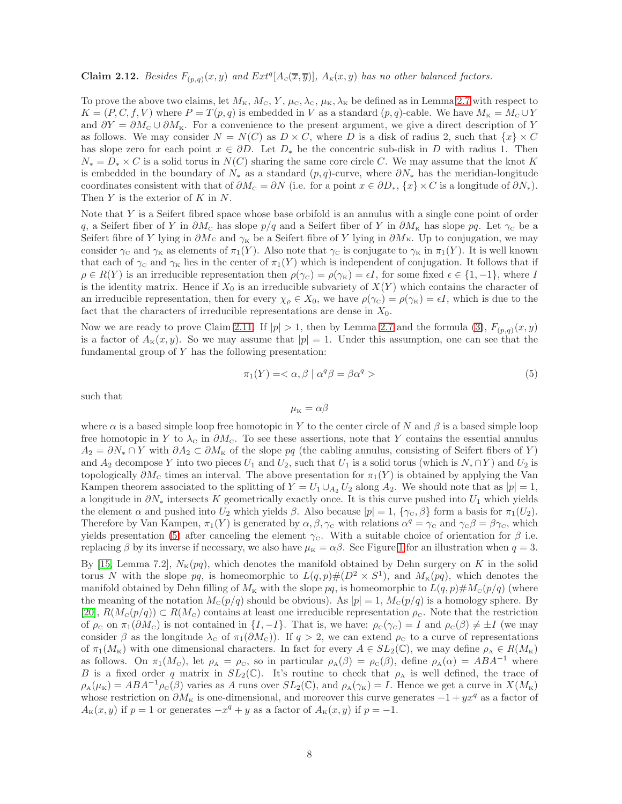<span id="page-7-1"></span>**Claim 2.12.** Besides  $F_{(p,q)}(x,y)$  and  $Ext^q[A_c(\overline{x}, \overline{y})], A_{\kappa}(x,y)$  has no other balanced factors.

To prove the above two claims, let  $M_{K}$ ,  $M_{C}$ ,  $Y$ ,  $\mu_{C}$ ,  $\lambda_{C}$ ,  $\mu_{K}$ ,  $\lambda_{K}$  be defined as in Lemma [2.7](#page-5-0) with respect to  $K = (P, C, f, V)$  where  $P = T(p, q)$  is embedded in V as a standard  $(p, q)$ -cable. We have  $M_K = M_C \cup Y$ and  $\partial Y = \partial M_{\rm c} \cup \partial M_{\rm K}$ . For a convenience to the present argument, we give a direct description of Y as follows. We may consider  $N = N(C)$  as  $D \times C$ , where D is a disk of radius 2, such that  $\{x\} \times C$ has slope zero for each point  $x \in \partial D$ . Let  $D_*$  be the concentric sub-disk in D with radius 1. Then  $N_* = D_* \times C$  is a solid torus in  $N(C)$  sharing the same core circle C. We may assume that the knot K is embedded in the boundary of  $N_*$  as a standard  $(p, q)$ -curve, where  $\partial N_*$  has the meridian-longitude coordinates consistent with that of  $\partial M_{\rm c} = \partial N$  (i.e. for a point  $x \in \partial D_*, \{x\} \times C$  is a longitude of  $\partial N_*$ ). Then  $Y$  is the exterior of  $K$  in  $N$ .

Note that Y is a Seifert fibred space whose base orbifold is an annulus with a single cone point of order q, a Seifert fiber of Y in  $\partial M_c$  has slope  $p/q$  and a Seifert fiber of Y in  $\partial M_{\kappa}$  has slope  $pq$ . Let  $\gamma_c$  be a Seifert fibre of Y lying in  $\partial M_c$  and  $\gamma_K$  be a Seifert fibre of Y lying in  $\partial M_K$ . Up to conjugation, we may consider  $\gamma_c$  and  $\gamma_K$  as elements of  $\pi_1(Y)$ . Also note that  $\gamma_c$  is conjugate to  $\gamma_K$  in  $\pi_1(Y)$ . It is well known that each of  $\gamma_c$  and  $\gamma_K$  lies in the center of  $\pi_1(Y)$  which is independent of conjugation. It follows that if  $\rho \in R(Y)$  is an irreducible representation then  $\rho(\gamma_{\rm c}) = \rho(\gamma_{\rm K}) = \epsilon I$ , for some fixed  $\epsilon \in \{1, -1\}$ , where I is the identity matrix. Hence if  $X_0$  is an irreducible subvariety of  $X(Y)$  which contains the character of an irreducible representation, then for every  $\chi_{\rho} \in X_0$ , we have  $\rho(\gamma_{\rm c}) = \rho(\gamma_{\rm K}) = \epsilon I$ , which is due to the fact that the characters of irreducible representations are dense in  $X_0$ .

Now we are ready to prove Claim [2.11.](#page-6-1) If  $|p| > 1$ , then by Lemma [2.7](#page-5-0) and the formula [\(3\)](#page-2-2),  $F_{(p,q)}(x, y)$ is a factor of  $A_K(x, y)$ . So we may assume that  $|p| = 1$ . Under this assumption, one can see that the fundamental group of  $Y$  has the following presentation:

<span id="page-7-0"></span>
$$
\pi_1(Y) = \langle \alpha, \beta \mid \alpha^q \beta = \beta \alpha^q \rangle \tag{5}
$$

such that

$$
\mu_{\rm K}=\alpha\beta
$$

where  $\alpha$  is a based simple loop free homotopic in Y to the center circle of N and  $\beta$  is a based simple loop free homotopic in Y to  $\lambda_c$  in  $\partial M_c$ . To see these assertions, note that Y contains the essential annulus  $A_2 = \partial N_1 \cap Y$  with  $\partial A_2 \subset \partial M_{\kappa}$  of the slope pq (the cabling annulus, consisting of Seifert fibers of Y) and  $A_2$  decompose Y into two pieces  $U_1$  and  $U_2$ , such that  $U_1$  is a solid torus (which is  $N_* \cap Y$ ) and  $U_2$  is topologically  $\partial M_{\rm C}$  times an interval. The above presentation for  $\pi_1(Y)$  is obtained by applying the Van Kampen theorem associated to the splitting of  $Y = U_1 \cup_{A_2} U_2$  along  $A_2$ . We should note that as  $|p|=1$ , a longitude in  $\partial N_*$  intersects K geometrically exactly once. It is this curve pushed into  $U_1$  which yields the element  $\alpha$  and pushed into  $U_2$  which yields  $\beta$ . Also because  $|p| = 1$ ,  $\{\gamma_c, \beta\}$  form a basis for  $\pi_1(U_2)$ . Therefore by Van Kampen,  $\pi_1(Y)$  is generated by  $\alpha, \beta, \gamma_c$  with relations  $\alpha^q = \gamma_c$  and  $\gamma_c \beta = \beta \gamma_c$ , which yields presentation [\(5\)](#page-7-0) after canceling the element  $\gamma_c$ . With a suitable choice of orientation for  $\beta$  i.e. replacing  $\beta$  by its inverse if necessary, we also have  $\mu_K = \alpha \beta$ . See Figure [1](#page-8-0) for an illustration when  $q = 3$ .

By [\[15,](#page-28-16) Lemma 7.2],  $N_{\kappa}(pq)$ , which denotes the manifold obtained by Dehn surgery on K in the solid torus N with the slope pq, is homeomorphic to  $L(q,p)$   $\#(D^2 \times S^1)$ , and  $M_k(pq)$ , which denotes the manifold obtained by Dehn filling of  $M_K$  with the slope  $pq$ , is homeomorphic to  $L(q, p) \# M_c(p/q)$  (where the meaning of the notation  $M_c(p/q)$  should be obvious). As  $|p|=1$ ,  $M_c(p/q)$  is a homology sphere. By [\[20\]](#page-28-2),  $R(M_{\rm c}(p/q)) \subset R(M_{\rm c})$  contains at least one irreducible representation  $\rho_{\rm c}$ . Note that the restriction of  $\rho_c$  on  $\pi_1(\partial M_c)$  is not contained in  $\{I, -I\}$ . That is, we have:  $\rho_c(\gamma_c) = I$  and  $\rho_c(\beta) \neq \pm I$  (we may consider  $\beta$  as the longitude  $\lambda_c$  of  $\pi_1(\partial M_c)$ . If  $q > 2$ , we can extend  $\rho_c$  to a curve of representations of  $\pi_1(M_{\rm K})$  with one dimensional characters. In fact for every  $A \in SL_2(\mathbb{C})$ , we may define  $\rho_A \in R(M_{\rm K})$ as follows. On  $\pi_1(M_c)$ , let  $\rho_A = \rho_c$ , so in particular  $\rho_A(\beta) = \rho_c(\beta)$ , define  $\rho_A(\alpha) = ABA^{-1}$  where B is a fixed order q matrix in  $SL_2(\mathbb{C})$ . It's routine to check that  $\rho_A$  is well defined, the trace of  $\rho_{\rm A}(\mu_{\rm K}) = ABA^{-1}\rho_{\rm C}(\beta)$  varies as A runs over  $SL_2(\mathbb{C})$ , and  $\rho_{\rm A}(\gamma_{\rm K}) = I$ . Hence we get a curve in  $X(M_{\rm K})$ whose restriction on  $\partial M_{\kappa}$  is one-dimensional, and moreover this curve generates  $-1 + yx^q$  as a factor of  $A_{\kappa}(x, y)$  if  $p = 1$  or generates  $-x^q + y$  as a factor of  $A_{\kappa}(x, y)$  if  $p = -1$ .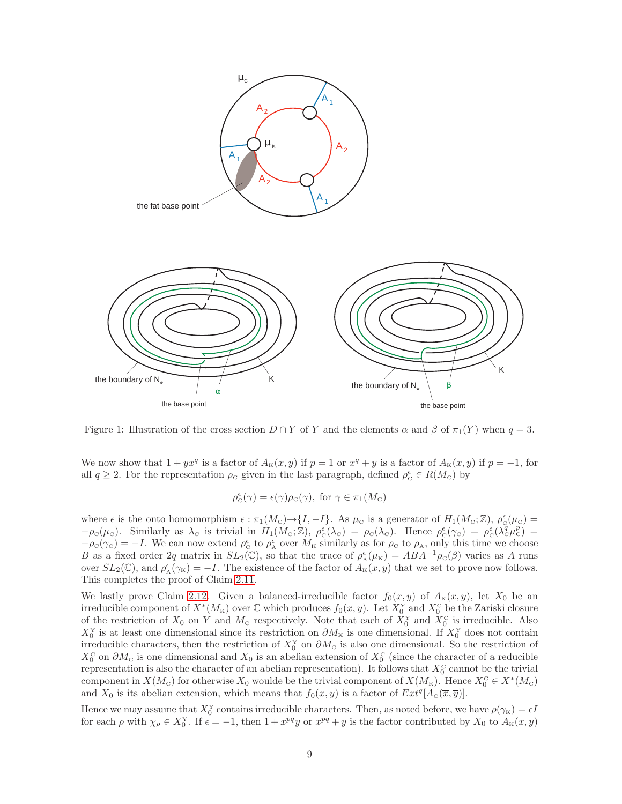

<span id="page-8-0"></span>Figure 1: Illustration of the cross section  $D \cap Y$  of Y and the elements  $\alpha$  and  $\beta$  of  $\pi_1(Y)$  when  $q = 3$ .

We now show that  $1 + yx^q$  is a factor of  $A_k(x, y)$  if  $p = 1$  or  $x^q + y$  is a factor of  $A_k(x, y)$  if  $p = -1$ , for all  $q \ge 2$ . For the representation  $\rho_c$  given in the last paragraph, defined  $\rho_c^{\epsilon} \in R(M_c)$  by

$$
\rho_{\mathcal{C}}^{\epsilon}(\gamma) = \epsilon(\gamma)\rho_{\mathcal{C}}(\gamma), \text{ for } \gamma \in \pi_1(M_{\mathcal{C}})
$$

where  $\epsilon$  is the onto homomorphism  $\epsilon : \pi_1(M_{\rm c}) \to \{I, -I\}$ . As  $\mu_{\rm c}$  is a generator of  $H_1(M_{\rm c}; \mathbb{Z})$ ,  $\rho_{\rm c}^{\epsilon}(\mu_{\rm c}) =$  $-\rho_{\rm c}(\mu_{\rm c})$ . Similarly as  $\lambda_{\rm c}$  is trivial in  $H_1(M_{\rm c};\mathbb{Z})$ ,  $\rho_{\rm c}(\lambda_{\rm c}) = \rho_{\rm c}(\lambda_{\rm c})$ . Hence  $\rho_{\rm c}(\gamma_{\rm c}) = \rho_{\rm c}(\lambda_{\rm c}^q\mu_{\rm c}^p) =$  $-\rho_{\rm C}(\gamma_{\rm C}) = -I$ . We can now extend  $\rho_{\rm C}^{\epsilon}$  to  $\rho_{\rm A}^{\epsilon}$  over  $M_{\rm K}$  similarly as for  $\rho_{\rm C}$  to  $\rho_{\rm A}$ , only this time we choose B as a fixed order 2q matrix in  $SL_2(\mathbb{C})$ , so that the trace of  $\rho^{\epsilon}_{A}(\mu_K) = ABA^{-1}\rho_{\rm C}(\beta)$  varies as A runs over  $SL_2(\mathbb{C})$ , and  $\rho_A^{\epsilon}(\gamma_K) = -I$ . The existence of the factor of  $A_K(x, y)$  that we set to prove now follows. This completes the proof of Claim [2.11.](#page-6-1)

We lastly prove Claim [2.12.](#page-7-1) Given a balanced-irreducible factor  $f_0(x, y)$  of  $A_K(x, y)$ , let  $X_0$  be an irreducible component of  $X^*(M_{\kappa})$  over  $\mathbb C$  which produces  $f_0(x, y)$ . Let  $X_0^{\mathcal X}$  and  $X_0^{\mathcal C}$  be the Zariski closure of the restriction of  $X_0$  on Y and  $M_c$  respectively. Note that each of  $X_0^Y$  and  $X_0^C$  is irreducible. Also  $X_0^Y$  is at least one dimensional since its restriction on  $\partial M_{\kappa}$  is one dimensional. If  $X_0^Y$  does not contain irreducible characters, then the restriction of  $X_0^Y$  on  $\partial M_C$  is also one dimensional. So the restriction of  $X_0^{\text{C}}$  on  $\partial M_{\text{C}}$  is one dimensional and  $X_0$  is an abelian extension of  $X_0^{\text{C}}$  (since the character of a reducible representation is also the character of an abelian representation). It follows that  $X_0^{\rm c}$  cannot be the trivial component in  $X(M_c)$  for otherwise  $X_0$  woulde be the trivial component of  $X(M_{\kappa})$ . Hence  $X_0^c \in X^*(M_c)$ and  $X_0$  is its abelian extension, which means that  $f_0(x, y)$  is a factor of  $Ext^q[A_c(\overline{x}, \overline{y})]$ .

Hence we may assume that  $X_0^Y$  contains irreducible characters. Then, as noted before, we have  $\rho(\gamma_K) = \epsilon I$ for each  $\rho$  with  $\chi_{\rho} \in X_0^{\rm Y}$ . If  $\epsilon = -1$ , then  $1 + x^{pq}y$  or  $x^{pq} + y$  is the factor contributed by  $X_0$  to  $A_{\rm K}(x, y)$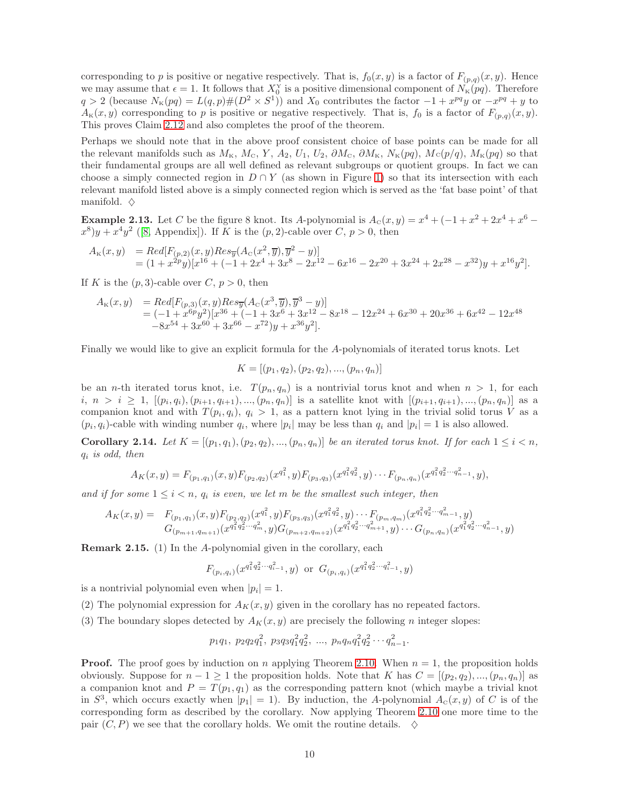corresponding to p is positive or negative respectively. That is,  $f_0(x, y)$  is a factor of  $F_{(p,q)}(x, y)$ . Hence we may assume that  $\epsilon = 1$ . It follows that  $X_0^Y$  is a positive dimensional component of  $N_K(pq)$ . Therefore  $q > 2$  (because  $N_{\kappa}(pq) = L(q, p) \# (D^2 \times S^1)$ ) and  $X_0$  contributes the factor  $-1 + x^{pq}y$  or  $-x^{pq} + y$  to  $A_K(x, y)$  corresponding to p is positive or negative respectively. That is,  $f_0$  is a factor of  $F_{(p,q)}(x, y)$ . This proves Claim [2.12](#page-7-1) and also completes the proof of the theorem.

Perhaps we should note that in the above proof consistent choice of base points can be made for all the relevant manifolds such as  $M_{K}$ ,  $M_{C}$ ,  $Y$ ,  $A_2$ ,  $U_1$ ,  $U_2$ ,  $\partial M_{C}$ ,  $\partial M_{K}$ ,  $N_{K}(pq)$ ,  $M_{C}(p/q)$ ,  $M_{K}(pq)$  so that their fundamental groups are all well defined as relevant subgroups or quotient groups. In fact we can choose a simply connected region in  $D \cap Y$  (as shown in Figure [1\)](#page-8-0) so that its intersection with each relevant manifold listed above is a simply connected region which is served as the 'fat base point' of that manifold.  $\diamond$ 

**Example 2.13.** Let C be the figure 8 knot. Its A-polynomial is  $A_c(x, y) = x^4 + (-1 + x^2 + 2x^4 + x^6 (x^8)y + x^4y^2$  ([\[8,](#page-28-10) Appendix]). If K is the  $(p, 2)$ -cable over C,  $p > 0$ , then

$$
\begin{array}{ll} A_{\scriptscriptstyle\rm K}(x,y) & = Red[F_{(p,2)}(x,y)Res_{\overline{y}}(A_{\scriptscriptstyle\rm C}(x^2,\overline{y}),\overline{y}^2-y)] \\ & = (1+x^{2p}y)[x^{16}+(-1+2x^4+3x^8-2x^{12}-6x^{16}-2x^{20}+3x^{24}+2x^{28}-x^{32})y+x^{16}y^2].\end{array}
$$

If K is the  $(p, 3)$ -cable over C,  $p > 0$ , then

$$
A_{\kappa}(x,y) = Red[F_{(p,3)}(x,y)Res_{\overline{y}}(A_{\rm c}(x^3,\overline{y}),\overline{y}^3-y)]
$$
  
= (-1 +  $x^{6p}y^2$ )[ $x^{36}$  + (-1 +  $3x^6$  +  $3x^{12}$  -  $8x^{18}$  -  $12x^{24}$  +  $6x^{30}$  +  $20x^{36}$  +  $6x^{42}$  -  $12x^{48}$   
- $8x^{54}$  +  $3x^{60}$  +  $3x^{66}$  -  $x^{72}$ ) $y$  +  $x^{36}y^2$ ].

Finally we would like to give an explicit formula for the A-polynomials of iterated torus knots. Let

$$
K = [(p_1, q_2), (p_2, q_2), ..., (p_n, q_n)]
$$

be an *n*-th iterated torus knot, i.e.  $T(p_n, q_n)$  is a nontrivial torus knot and when  $n > 1$ , for each  $i, n > i \geq 1, \, [(p_i, q_i), (p_{i+1}, q_{i+1}), ..., (p_n, q_n)]$  is a satellite knot with  $[(p_{i+1}, q_{i+1}), ..., (p_n, q_n)]$  as a companion knot and with  $T(p_i, q_i)$ ,  $q_i > 1$ , as a pattern knot lying in the trivial solid torus V as a  $(p_i, q_i)$ -cable with winding number  $q_i$ , where  $|p_i|$  may be less than  $q_i$  and  $|p_i| = 1$  is also allowed.

<span id="page-9-0"></span>**Corollary 2.14.** Let  $K = [(p_1, q_1), (p_2, q_2), ..., (p_n, q_n)]$  be an iterated torus knot. If for each  $1 \leq i < n$ ,  $q_i$  is odd, then

$$
A_K(x,y) = F_{(p_1,q_1)}(x,y)F_{(p_2,q_2)}(x^{q_1^2},y)F_{(p_3,q_3)}(x^{q_1^2q_2^2},y)\cdots F_{(p_n,q_n)}(x^{q_1^2q_2^2\cdots q_{n-1}^2},y),
$$

and if for some  $1 \leq i < n$ ,  $q_i$  is even, we let m be the smallest such integer, then

$$
A_K(x,y) = F_{(p_1,q_1)}(x,y)F_{(p_2,q_2)}(x^{q_1^2},y)F_{(p_3,q_3)}(x^{q_1^2q_2^2},y)\cdots F_{(p_m,q_m)}(x^{q_1^2q_2^2\cdots q_{m-1}^2},y)
$$
  

$$
G_{(p_{m+1},q_{m+1})}(x^{q_1^2q_2^2\cdots q_m^2},y)G_{(p_{m+2},q_{m+2})}(x^{q_1^2q_2^2\cdots q_{m+1}^2},y)\cdots G_{(p_n,q_n)}(x^{q_1^2q_2^2\cdots q_{n-1}^2},y)
$$

Remark 2.15. (1) In the A-polynomial given in the corollary, each

$$
F_{(p_i,q_i)}(x^{q_1^2 q_2^2 \cdots q_{i-1}^2}, y)
$$
 or  $G_{(p_i,q_i)}(x^{q_1^2 q_2^2 \cdots q_{i-1}^2}, y)$ 

is a nontrivial polynomial even when  $|p_i|=1$ .

(2) The polynomial expression for  $A_K(x, y)$  given in the corollary has no repeated factors.

(3) The boundary slopes detected by  $A_K(x, y)$  are precisely the following n integer slopes:

$$
p_1q_1, p_2q_2q_1^2, p_3q_3q_1^2q_2^2, \ldots, p_nq_nq_1^2q_2^2\cdots q_{n-1}^2.
$$

**Proof.** The proof goes by induction on n applying Theorem [2.10.](#page-6-0) When  $n = 1$ , the proposition holds obviously. Suppose for  $n-1 \geq 1$  the proposition holds. Note that K has  $C = [(p_2, q_2), ..., (p_n, q_n)]$  as a companion knot and  $P = T(p_1, q_1)$  as the corresponding pattern knot (which maybe a trivial knot in  $S^3$ , which occurs exactly when  $|p_1| = 1$ . By induction, the A-polynomial  $A_c(x, y)$  of C is of the corresponding form as described by the corollary. Now applying Theorem [2.10](#page-6-0) one more time to the pair  $(C, P)$  we see that the corollary holds. We omit the routine details.  $\Diamond$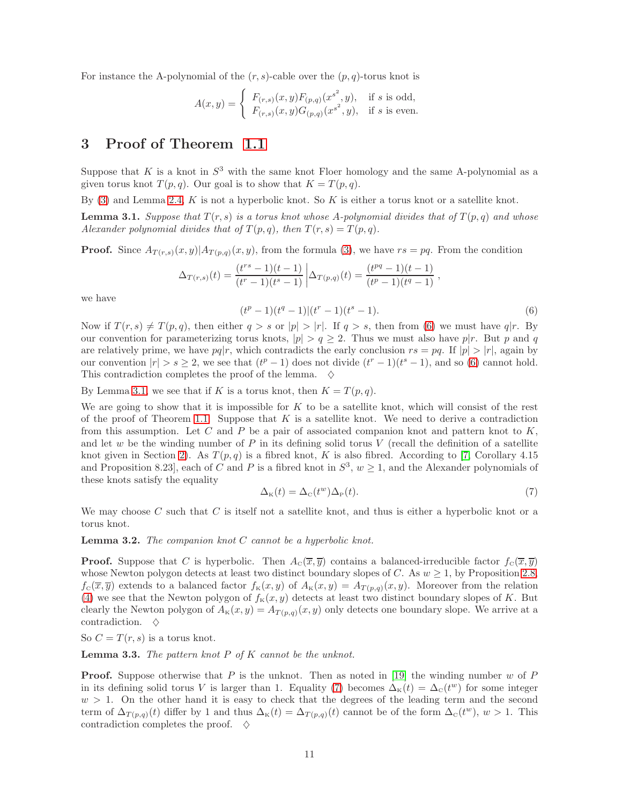For instance the A-polynomial of the  $(r, s)$ -cable over the  $(p, q)$ -torus knot is

$$
A(x,y) = \begin{cases} F_{(r,s)}(x,y)F_{(p,q)}(x^{s^2},y), & \text{if } s \text{ is odd,} \\ F_{(r,s)}(x,y)G_{(p,q)}(x^{s^2},y), & \text{if } s \text{ is even.} \end{cases}
$$

## <span id="page-10-0"></span>3 Proof of Theorem [1.1](#page-0-0)

Suppose that K is a knot in  $S^3$  with the same knot Floer homology and the same A-polynomial as a given torus knot  $T(p,q)$ . Our goal is to show that  $K = T(p,q)$ .

By  $(3)$  and Lemma [2.4,](#page-4-0) K is not a hyperbolic knot. So K is either a torus knot or a satellite knot.

<span id="page-10-2"></span>**Lemma 3.1.** Suppose that  $T(r, s)$  is a torus knot whose A-polynomial divides that of  $T(p, q)$  and whose Alexander polynomial divides that of  $T(p,q)$ , then  $T(r,s) = T(p,q)$ .

**Proof.** Since  $A_{T(r,s)}(x,y)|A_{T(p,q)}(x,y)$ , from the formula [\(3\)](#page-2-2), we have  $rs = pq$ . From the condition

$$
\Delta_{T(r,s)}(t) = \frac{(t^{rs}-1)(t-1)}{(t^r-1)(t^s-1)} \left| \Delta_{T(p,q)}(t) \right| = \frac{(t^{pq}-1)(t-1)}{(t^p-1)(t^q-1)},
$$

we have

<span id="page-10-1"></span>
$$
(tp - 1)(tq - 1)(ts - 1).
$$
 (6)

Now if  $T(r, s) \neq T(p, q)$ , then either  $q > s$  or  $|p| > |r|$ . If  $q > s$ , then from [\(6\)](#page-10-1) we must have  $q|r$ . By our convention for parameterizing torus knots,  $|p| > q \ge 2$ . Thus we must also have p|r. But p and q are relatively prime, we have  $pq|r$ , which contradicts the early conclusion  $rs = pq$ . If  $|p| > |r|$ , again by our convention  $|r| > s \geq 2$ , we see that  $(t^p - 1)$  does not divide  $(t^r - 1)(t^s - 1)$ , and so [\(6\)](#page-10-1) cannot hold. This contradiction completes the proof of the lemma.  $\diamond$ 

By Lemma [3.1,](#page-10-2) we see that if K is a torus knot, then  $K = T(p, q)$ .

We are going to show that it is impossible for  $K$  to be a satellite knot, which will consist of the rest of the proof of Theorem [1.1.](#page-0-0) Suppose that  $K$  is a satellite knot. We need to derive a contradiction from this assumption. Let C and P be a pair of associated companion knot and pattern knot to  $K$ , and let w be the winding number of  $P$  in its defining solid torus  $V$  (recall the definition of a satellite knot given in Section [2\)](#page-1-0). As  $T(p,q)$  is a fibred knot, K is also fibred. According to [\[7,](#page-27-3) Corollary 4.15 and Proposition 8.23, each of C and P is a fibred knot in  $S^3$ ,  $w \ge 1$ , and the Alexander polynomials of these knots satisfy the equality

<span id="page-10-3"></span>
$$
\Delta_{\kappa}(t) = \Delta_{\rm c}(t^w) \Delta_{\rm P}(t). \tag{7}
$$

We may choose C such that C is itself not a satellite knot, and thus is either a hyperbolic knot or a torus knot.

**Lemma 3.2.** The companion knot  $C$  cannot be a hyperbolic knot.

**Proof.** Suppose that C is hyperbolic. Then  $A_c(\overline{x}, \overline{y})$  contains a balanced-irreducible factor  $f_c(\overline{x}, \overline{y})$ whose Newton polygon detects at least two distinct boundary slopes of C. As  $w \geq 1$ , by Proposition [2.8,](#page-5-1)  $f_c(\overline{x}, \overline{y})$  extends to a balanced factor  $f_K(x, y)$  of  $A_K(x, y) = A_{T(p,q)}(x, y)$ . Moreover from the relation [\(4\)](#page-6-2) we see that the Newton polygon of  $f_K(x, y)$  detects at least two distinct boundary slopes of K. But clearly the Newton polygon of  $A_K(x, y) = A_{T(p,q)}(x, y)$  only detects one boundary slope. We arrive at a contradiction.  $\diamond$ 

So  $C = T(r, s)$  is a torus knot.

<span id="page-10-4"></span>**Lemma 3.3.** The pattern knot  $P$  of  $K$  cannot be the unknot.

**Proof.** Suppose otherwise that P is the unknot. Then as noted in [\[19\]](#page-28-17) the winding number w of P in its defining solid torus V is larger than 1. Equality [\(7\)](#page-10-3) becomes  $\Delta_{\kappa}(t) = \Delta_{\kappa}(t^w)$  for some integer  $w > 1$ . On the other hand it is easy to check that the degrees of the leading term and the second term of  $\Delta_{T(p,q)}(t)$  differ by 1 and thus  $\Delta_{\kappa}(t) = \Delta_{T(p,q)}(t)$  cannot be of the form  $\Delta_{\kappa}(t^w)$ ,  $w > 1$ . This contradiction completes the proof.  $\diamond$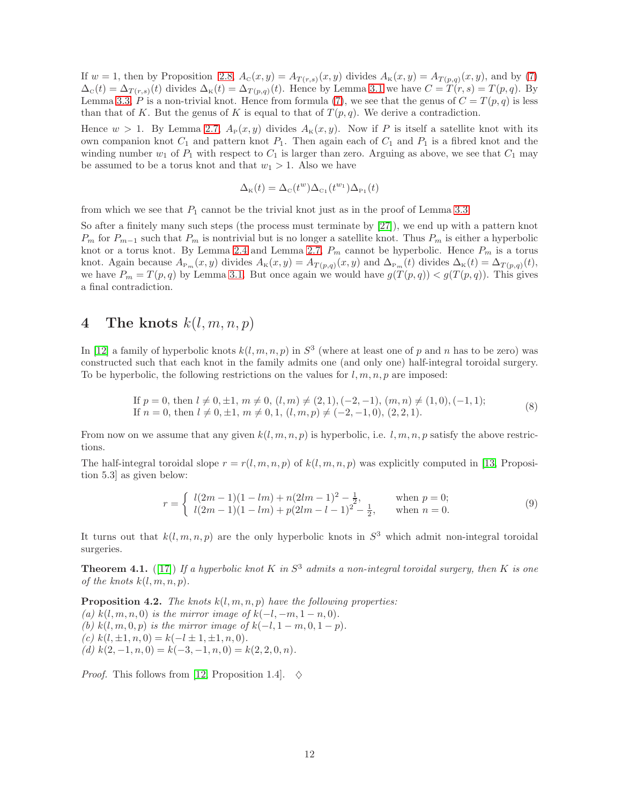If  $w = 1$ , then by Proposition [2.8,](#page-5-1)  $A_c(x, y) = A_{T(r, s)}(x, y)$  divides  $A_{\kappa}(x, y) = A_{T(p,q)}(x, y)$ , and by [\(7\)](#page-10-3)  $\Delta_C(t) = \Delta_{T(r,s)}(t)$  divides  $\Delta_K(t) = \Delta_{T(p,q)}(t)$ . Hence by Lemma [3.1](#page-10-2) we have  $C = T(r,s) = T(p,q)$ . By Lemma [3.3,](#page-10-4) P is a non-trivial knot. Hence from formula [\(7\)](#page-10-3), we see that the genus of  $C = T(p,q)$  is less than that of K. But the genus of K is equal to that of  $T(p,q)$ . We derive a contradiction.

Hence  $w > 1$ . By Lemma [2.7,](#page-5-0)  $A_P(x, y)$  divides  $A_K(x, y)$ . Now if P is itself a satellite knot with its own companion knot  $C_1$  and pattern knot  $P_1$ . Then again each of  $C_1$  and  $P_1$  is a fibred knot and the winding number  $w_1$  of  $P_1$  with respect to  $C_1$  is larger than zero. Arguing as above, we see that  $C_1$  may be assumed to be a torus knot and that  $w_1 > 1$ . Also we have

$$
\Delta_{\rm K}(t) = \Delta_{\rm C}(t^w) \Delta_{\rm C_1}(t^{w_1}) \Delta_{\rm P_1}(t)
$$

from which we see that  $P_1$  cannot be the trivial knot just as in the proof of Lemma [3.3.](#page-10-4)

So after a finitely many such steps (the process must terminate by [\[27\]](#page-28-18)), we end up with a pattern knot  $P_m$  for  $P_{m-1}$  such that  $P_m$  is nontrivial but is no longer a satellite knot. Thus  $P_m$  is either a hyperbolic knot or a torus knot. By Lemma [2.4](#page-4-0) and Lemma [2.7,](#page-5-0)  $P_m$  cannot be hyperbolic. Hence  $P_m$  is a torus knot. Again because  $A_{P_m}(x, y)$  divides  $A_K(x, y) = A_{T(p,q)}(x, y)$  and  $\Delta_{P_m}(t)$  divides  $\Delta_K(t) = \Delta_{T(p,q)}(t)$ , we have  $P_m = T(p,q)$  by Lemma [3.1.](#page-10-2) But once again we would have  $g(T(p,q)) < g(T(p,q))$ . This gives a final contradiction.

# <span id="page-11-0"></span>4 The knots  $k(l, m, n, p)$

In [\[12\]](#page-28-5) a family of hyperbolic knots  $k(l, m, n, p)$  in  $S<sup>3</sup>$  (where at least one of p and n has to be zero) was constructed such that each knot in the family admits one (and only one) half-integral toroidal surgery. To be hyperbolic, the following restrictions on the values for  $l, m, n, p$  are imposed:

<span id="page-11-4"></span>If 
$$
p = 0
$$
, then  $l \neq 0, \pm 1$ ,  $m \neq 0$ ,  $(l, m) \neq (2, 1), (-2, -1), (m, n) \neq (1, 0), (-1, 1);$   
If  $n = 0$ , then  $l \neq 0, \pm 1$ ,  $m \neq 0, 1, (l, m, p) \neq (-2, -1, 0), (2, 2, 1).$  (8)

From now on we assume that any given  $k(l, m, n, p)$  is hyperbolic, i.e.  $l, m, n, p$  satisfy the above restrictions.

The half-integral toroidal slope  $r = r(l, m, n, p)$  of  $k(l, m, n, p)$  was explicitly computed in [\[13,](#page-28-6) Proposition 5.3] as given below:

<span id="page-11-3"></span>
$$
r = \begin{cases} l(2m-1)(1-lm) + n(2lm-1)^2 - \frac{1}{2}, & \text{when } p = 0; \\ l(2m-1)(1-lm) + p(2lm-l-1)^2 - \frac{1}{2}, & \text{when } n = 0. \end{cases}
$$
(9)

It turns out that  $k(l, m, n, p)$  are the only hyperbolic knots in  $S<sup>3</sup>$  which admit non-integral toroidal surgeries.

<span id="page-11-2"></span>**Theorem 4.1.** ([\[17\]](#page-28-7)) If a hyperbolic knot K in  $S^3$  admits a non-integral toroidal surgery, then K is one of the knots  $k(l, m, n, p)$ .

<span id="page-11-1"></span>**Proposition 4.2.** The knots  $k(l, m, n, p)$  have the following properties: (a)  $k(l, m, n, 0)$  is the mirror image of  $k(-l, -m, 1-n, 0)$ . (b) k(l, m, 0, p) is the mirror image of  $k(-l, 1-m, 0, 1-p)$ . (c)  $k(l, \pm 1, n, 0) = k(-l, \pm 1, \pm 1, n, 0).$ (d)  $k(2, -1, n, 0) = k(-3, -1, n, 0) = k(2, 2, 0, n).$ 

*Proof.* This follows from [\[12,](#page-28-5) Proposition 1.4].  $\diamond$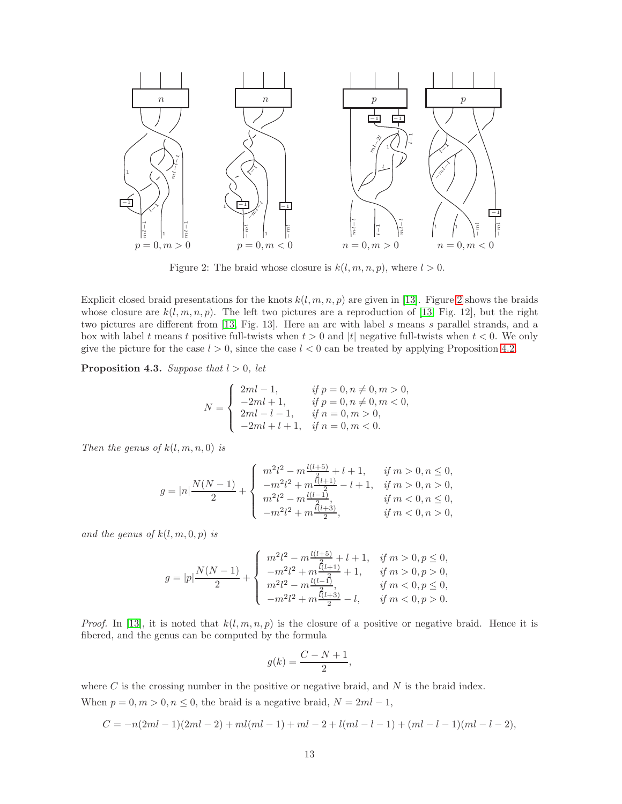

<span id="page-12-0"></span>Figure 2: The braid whose closure is  $k(l, m, n, p)$ , where  $l > 0$ .

Explicit closed braid presentations for the knots  $k(l, m, n, p)$  are given in [\[13\]](#page-28-6). Figure [2](#page-12-0) shows the braids whose closure are  $k(l, m, n, p)$ . The left two pictures are a reproduction of [\[13,](#page-28-6) Fig. 12], but the right two pictures are different from [\[13,](#page-28-6) Fig. 13]. Here an arc with label s means s parallel strands, and a box with label t means t positive full-twists when  $t > 0$  and |t| negative full-twists when  $t < 0$ . We only give the picture for the case  $l > 0$ , since the case  $l < 0$  can be treated by applying Proposition [4.2.](#page-11-1)

<span id="page-12-1"></span>Proposition 4.3. Suppose that  $l > 0$ , let

$$
N = \begin{cases} 2ml - 1, & if p = 0, n \neq 0, m > 0, \\ -2ml + 1, & if p = 0, n \neq 0, m < 0, \\ 2ml - l - 1, & if n = 0, m > 0, \\ -2ml + l + 1, & if n = 0, m < 0. \end{cases}
$$

Then the genus of  $k(l, m, n, 0)$  is

$$
g=|n|\frac{N(N-1)}{2}+\left\{\begin{array}{ll} m^2l^2-m\frac{l(l+5)}{2}+l+1, & \textit{ if } m>0,n\leq 0,\\ -m^2l^2+m\frac{\tilde{l}(l+1)}{2}-l+1, & \textit{ if } m>0,n>0,\\ m^2l^2-m\frac{l(l-1)}{2}, & \textit{ if } m<0,n\leq 0,\\ -m^2l^2+m\frac{\tilde{l}(l+3)}{2}, & \textit{ if } m<0,n>0, \end{array} \right.
$$

and the genus of  $k(l, m, 0, p)$  is

$$
g=|p|\frac{N(N-1)}{2}+\left\{\begin{array}{ll} m^2l^2-m\frac{l(l+5)}{2}+l+1, & \textit{if }m>0, p\leq 0,\\ -m^2l^2+m\frac{l(l+1)}{2}+1, & \textit{if }m>0, p>0,\\ m^2l^2-m\frac{l(l-1)}{2}, & \textit{if }m<0, p\leq 0,\\ -m^2l^2+m\frac{l(l+3)}{2}-l, & \textit{if }m<0, p>0.\end{array}\right.
$$

*Proof.* In [\[13\]](#page-28-6), it is noted that  $k(l, m, n, p)$  is the closure of a positive or negative braid. Hence it is fibered, and the genus can be computed by the formula

$$
g(k)=\frac{C-N+1}{2},
$$

where  $C$  is the crossing number in the positive or negative braid, and  $N$  is the braid index. When  $p = 0, m > 0, n \leq 0$ , the braid is a negative braid,  $N = 2ml - 1$ ,

$$
C = -n(2ml - 1)(2ml - 2) + ml(ml - 1) + ml - 2 + l(ml - l - 1) + (ml - l - 1)(ml - l - 2),
$$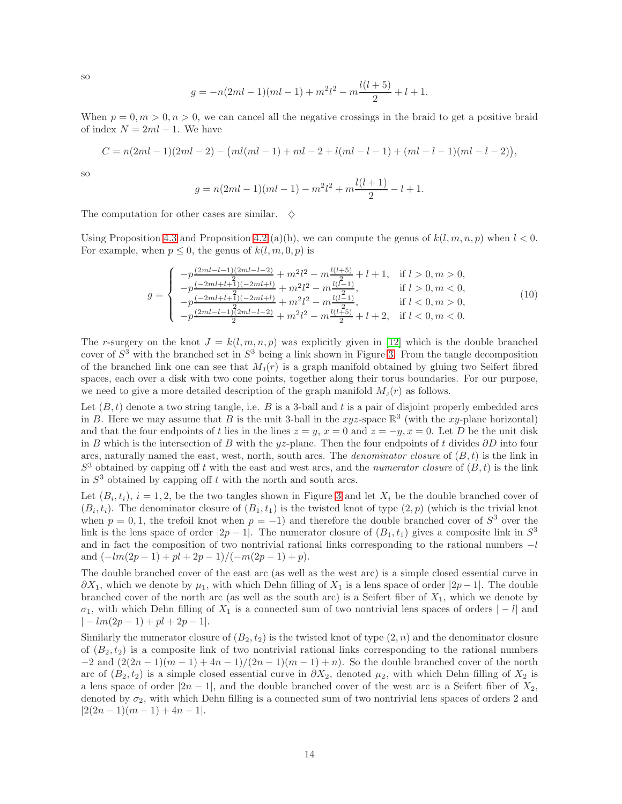so

$$
g = -n(2ml - 1)(ml - 1) + m2l2 - m\frac{l(l+5)}{2} + l + 1.
$$

When  $p = 0, m > 0, n > 0$ , we can cancel all the negative crossings in the braid to get a positive braid of index  $N = 2ml - 1$ . We have

$$
C = n(2ml - 1)(2ml - 2) - (ml(ml - 1) + ml - 2 + l(ml - l - 1) + (ml - l - 1)(ml - l - 2)),
$$

so

$$
g = n(2ml - 1)(ml - 1) - m2l2 + m\frac{l(l + 1)}{2} - l + 1.
$$

The computation for other cases are similar.  $\diamond$ 

Using Proposition [4.3](#page-12-1) and Proposition [4.2](#page-11-1) (a)(b), we can compute the genus of  $k(l, m, n, p)$  when  $l < 0$ . For example, when  $p \leq 0$ , the genus of  $k(l, m, 0, p)$  is

<span id="page-13-0"></span>
$$
g = \begin{cases}\n-p\frac{(2ml-l-1)(2ml-l-2)}{2} + m^2l^2 - m\frac{l(l+5)}{2} + l + 1, & \text{if } l > 0, m > 0, \\
-p\frac{(-2ml+l+1)(-2ml+l)}{2} + m^2l^2 - m\frac{l(l-1)}{2}, & \text{if } l > 0, m < 0, \\
-p\frac{(-2ml+l+1)(-2ml+l)}{2} + m^2l^2 - m\frac{l(l-1)}{2}, & \text{if } l < 0, m > 0, \\
-p\frac{(2ml-l-1)(2ml-l-2)}{2} + m^2l^2 - m\frac{l(l+5)}{2} + l + 2, & \text{if } l < 0, m < 0.\n\end{cases}
$$
\n(10)

The r-surgery on the knot  $J = k(l, m, n, p)$  was explicitly given in [\[12\]](#page-28-5) which is the double branched cover of  $S^3$  with the branched set in  $S^3$  being a link shown in Figure [3.](#page-14-0) From the tangle decomposition of the branched link one can see that  $M_1(r)$  is a graph manifold obtained by gluing two Seifert fibred spaces, each over a disk with two cone points, together along their torus boundaries. For our purpose, we need to give a more detailed description of the graph manifold  $M_{J}(r)$  as follows.

Let  $(B, t)$  denote a two string tangle, i.e. B is a 3-ball and t is a pair of disjoint properly embedded arcs in B. Here we may assume that B is the unit 3-ball in the xyz-space  $\mathbb{R}^3$  (with the xy-plane horizontal) and that the four endpoints of t lies in the lines  $z = y$ ,  $x = 0$  and  $z = -y$ ,  $x = 0$ . Let D be the unit disk in B which is the intersection of B with the yz-plane. Then the four endpoints of t divides  $\partial D$  into four arcs, naturally named the east, west, north, south arcs. The *denominator closure* of  $(B, t)$  is the link in  $S<sup>3</sup>$  obtained by capping off t with the east and west arcs, and the numerator closure of  $(B, t)$  is the link in  $S<sup>3</sup>$  obtained by capping off t with the north and south arcs.

Let  $(B_i, t_i)$ ,  $i = 1, 2$ , be the two tangles shown in Figure [3](#page-14-0) and let  $X_i$  be the double branched cover of  $(B_i, t_i)$ . The denominator closure of  $(B_1, t_1)$  is the twisted knot of type  $(2, p)$  (which is the trivial knot when  $p = 0, 1$ , the trefoil knot when  $p = -1$ ) and therefore the double branched cover of  $S<sup>3</sup>$  over the link is the lens space of order  $|2p-1|$ . The numerator closure of  $(B_1, t_1)$  gives a composite link in  $S^3$ and in fact the composition of two nontrivial rational links corresponding to the rational numbers  $-l$ and  $\left(\frac{-lm(2p-1)+pl+2p-1}{-m(2p-1)+p}\right)$ .

The double branched cover of the east arc (as well as the west arc) is a simple closed essential curve in  $\partial X_1$ , which we denote by  $\mu_1$ , with which Dehn filling of  $X_1$  is a lens space of order  $|2p-1|$ . The double branched cover of the north arc (as well as the south arc) is a Seifert fiber of  $X_1$ , which we denote by  $\sigma_1$ , with which Dehn filling of  $X_1$  is a connected sum of two nontrivial lens spaces of orders  $|-l|$  and  $|-lm(2p-1)+pl+2p-1|.$ 

Similarly the numerator closure of  $(B_2, t_2)$  is the twisted knot of type  $(2, n)$  and the denominator closure of  $(B_2, t_2)$  is a composite link of two nontrivial rational links corresponding to the rational numbers  $-2$  and  $\left(\frac{2(2n-1)(m-1)+4n-1}{2m-1}\right)(2n-1)(m-1)+n$ . So the double branched cover of the north arc of  $(B_2, t_2)$  is a simple closed essential curve in  $\partial X_2$ , denoted  $\mu_2$ , with which Dehn filling of  $X_2$  is a lens space of order  $|2n-1|$ , and the double branched cover of the west arc is a Seifert fiber of  $X_2$ , denoted by  $\sigma_2$ , with which Dehn filling is a connected sum of two nontrivial lens spaces of orders 2 and  $|2(2n-1)(m-1)+4n-1|$ .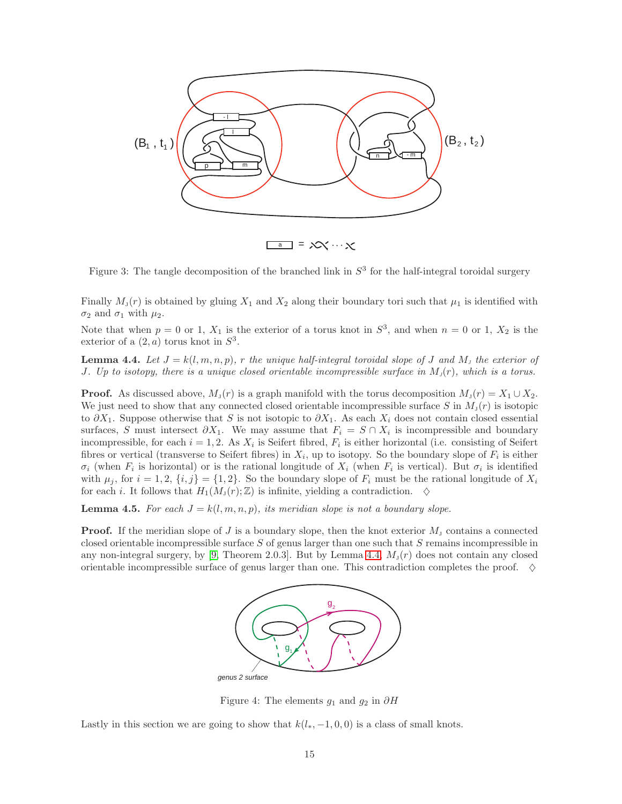

<span id="page-14-0"></span>Figure 3: The tangle decomposition of the branched link in  $S<sup>3</sup>$  for the half-integral toroidal surgery

Finally  $M_{\rm J}(r)$  is obtained by gluing  $X_1$  and  $X_2$  along their boundary tori such that  $\mu_1$  is identified with  $\sigma_2$  and  $\sigma_1$  with  $\mu_2$ .

Note that when  $p = 0$  or 1,  $X_1$  is the exterior of a torus knot in  $S^3$ , and when  $n = 0$  or 1,  $X_2$  is the exterior of a  $(2, a)$  torus knot in  $S<sup>3</sup>$ .

<span id="page-14-1"></span>**Lemma 4.4.** Let  $J = k(l, m, n, p)$ , r the unique half-integral toroidal slope of J and M<sub>J</sub> the exterior of J. Up to isotopy, there is a unique closed orientable incompressible surface in  $M<sub>J</sub>(r)$ , which is a torus.

**Proof.** As discussed above,  $M_j(r)$  is a graph manifold with the torus decomposition  $M_j(r) = X_1 \cup X_2$ . We just need to show that any connected closed orientable incompressible surface S in  $M_J(r)$  is isotopic to  $\partial X_1$ . Suppose otherwise that S is not isotopic to  $\partial X_1$ . As each  $X_i$  does not contain closed essential surfaces, S must intersect  $\partial X_1$ . We may assume that  $F_i = S \cap X_i$  is incompressible and boundary incompressible, for each  $i = 1, 2$ . As  $X_i$  is Seifert fibred,  $F_i$  is either horizontal (i.e. consisting of Seifert fibres or vertical (transverse to Seifert fibres) in  $X_i$ , up to isotopy. So the boundary slope of  $F_i$  is either  $\sigma_i$  (when  $F_i$  is horizontal) or is the rational longitude of  $X_i$  (when  $F_i$  is vertical). But  $\sigma_i$  is identified with  $\mu_j$ , for  $i = 1, 2, \{i, j\} = \{1, 2\}$ . So the boundary slope of  $F_i$  must be the rational longitude of  $X_i$ for each i. It follows that  $H_1(M_J(r); \mathbb{Z})$  is infinite, yielding a contradiction.  $\diamond$ 

<span id="page-14-3"></span>**Lemma 4.5.** For each  $J = k(l, m, n, p)$ , its meridian slope is not a boundary slope.

**Proof.** If the meridian slope of J is a boundary slope, then the knot exterior  $M<sub>j</sub>$  contains a connected closed orientable incompressible surface S of genus larger than one such that S remains incompressible in any non-integral surgery, by [\[9,](#page-28-13) Theorem 2.0.3]. But by Lemma [4.4,](#page-14-1)  $M_1(r)$  does not contain any closed orientable incompressible surface of genus larger than one. This contradiction completes the proof.  $\diamond$ 



<span id="page-14-2"></span>Figure 4: The elements  $g_1$  and  $g_2$  in  $\partial H$ 

Lastly in this section we are going to show that  $k(l_*, -1, 0, 0)$  is a class of small knots.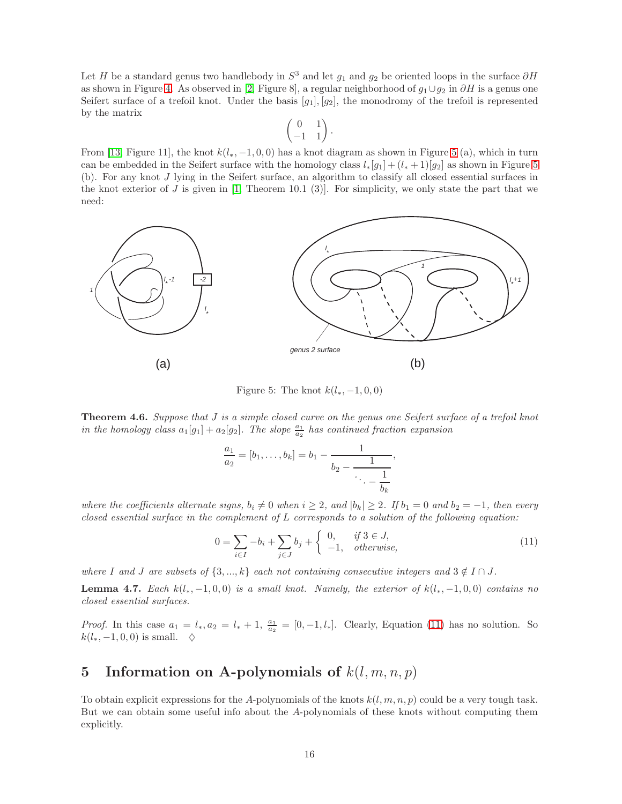Let H be a standard genus two handlebody in  $S^3$  and let  $g_1$  and  $g_2$  be oriented loops in the surface  $\partial H$ as shown in Figure [4.](#page-14-2) As observed in [\[2,](#page-27-4) Figure 8], a regular neighborhood of  $g_1 \cup g_2$  in ∂H is a genus one Seifert surface of a trefoil knot. Under the basis  $[g_1], [g_2]$ , the monodromy of the trefoil is represented by the matrix

$$
\begin{pmatrix} 0 & 1 \\ -1 & 1 \end{pmatrix}.
$$

From [\[13,](#page-28-6) Figure 11], the knot  $k(l_*,-1,0,0)$  has a knot diagram as shown in Figure [5](#page-15-0) (a), which in turn can be embedded in the Seifert surface with the homology class  $l_*[g_1] + (l_*+1)[g_2]$  as shown in Figure [5](#page-15-0) (b). For any knot J lying in the Seifert surface, an algorithm to classify all closed essential surfaces in the knot exterior of J is given in  $[1,$  Theorem 10.1  $(3)]$ . For simplicity, we only state the part that we need:



<span id="page-15-0"></span>Figure 5: The knot  $k(l_*, -1, 0, 0)$ 

**Theorem 4.6.** Suppose that J is a simple closed curve on the genus one Seifert surface of a trefoil knot in the homology class  $a_1[g_1] + a_2[g_2]$ . The slope  $\frac{a_1}{a_2}$  has continued fraction expansion

$$
\frac{a_1}{a_2} = [b_1, \dots, b_k] = b_1 - \frac{1}{b_2 - \frac{1}{\ddots - \frac{1}{b_k}}},
$$

where the coefficients alternate signs,  $b_i \neq 0$  when  $i \geq 2$ , and  $|b_k| \geq 2$ . If  $b_1 = 0$  and  $b_2 = -1$ , then every closed essential surface in the complement of  $L$  corresponds to a solution of the following equation:

<span id="page-15-2"></span>
$$
0 = \sum_{i \in I} -b_i + \sum_{j \in J} b_j + \begin{cases} 0, & \text{if } 3 \in J, \\ -1, & \text{otherwise,} \end{cases} \tag{11}
$$

where I and J are subsets of  $\{3, ..., k\}$  each not containing consecutive integers and  $3 \notin I \cap J$ .

**Lemma 4.7.** Each  $k(l_*,-1,0,0)$  is a small knot. Namely, the exterior of  $k(l_*,-1,0,0)$  contains no closed essential surfaces.

*Proof.* In this case  $a_1 = l_*, a_2 = l_* + 1$ ,  $\frac{a_1}{a_2} = [0, -1, l_*]$ . Clearly, Equation [\(11\)](#page-15-2) has no solution. So  $k(l_*, -1, 0, 0)$  is small.  $\diamond$ 

## <span id="page-15-1"></span>5 Information on A-polynomials of  $k(l, m, n, p)$

To obtain explicit expressions for the A-polynomials of the knots  $k(l, m, n, p)$  could be a very tough task. But we can obtain some useful info about the A-polynomials of these knots without computing them explicitly.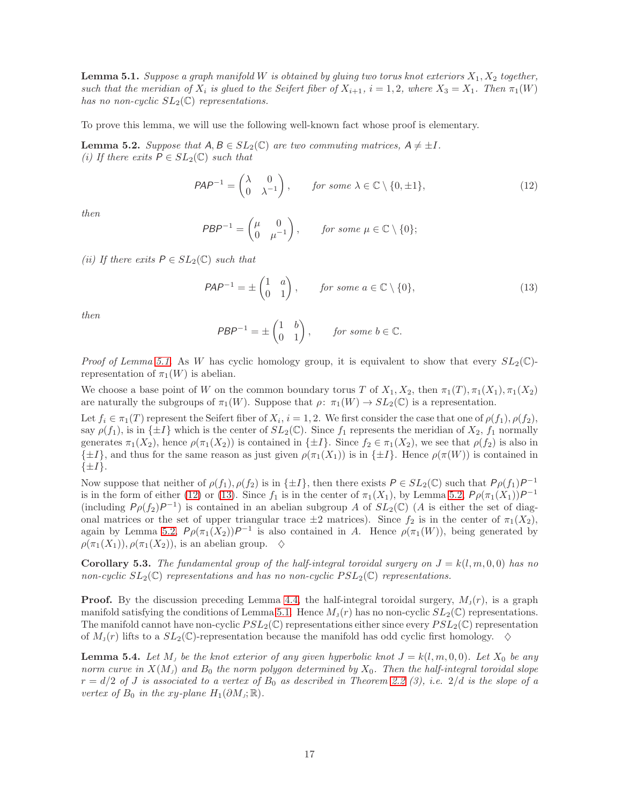<span id="page-16-0"></span>**Lemma 5.1.** Suppose a graph manifold W is obtained by gluing two torus knot exteriors  $X_1, X_2$  together, such that the meridian of  $X_i$  is glued to the Seifert fiber of  $X_{i+1}$ ,  $i = 1, 2$ , where  $X_3 = X_1$ . Then  $\pi_1(W)$ has no non-cyclic  $SL_2(\mathbb{C})$  representations.

To prove this lemma, we will use the following well-known fact whose proof is elementary.

<span id="page-16-3"></span>**Lemma 5.2.** Suppose that  $A, B \in SL_2(\mathbb{C})$  are two commuting matrices,  $A \neq \pm I$ . (i) If there exits  $P \in SL_2(\mathbb{C})$  such that

<span id="page-16-1"></span>
$$
PAP^{-1} = \begin{pmatrix} \lambda & 0 \\ 0 & \lambda^{-1} \end{pmatrix}, \quad \text{for some } \lambda \in \mathbb{C} \setminus \{0, \pm 1\},
$$
 (12)

then

$$
PBP^{-1} = \begin{pmatrix} \mu & 0 \\ 0 & \mu^{-1} \end{pmatrix}, \quad \text{for some } \mu \in \mathbb{C} \setminus \{0\};
$$

(ii) If there exits  $P \in SL_2(\mathbb{C})$  such that

<span id="page-16-2"></span>
$$
PAP^{-1} = \pm \begin{pmatrix} 1 & a \\ 0 & 1 \end{pmatrix}, \qquad \text{for some } a \in \mathbb{C} \setminus \{0\},\tag{13}
$$

then

$$
PBP^{-1} = \pm \begin{pmatrix} 1 & b \\ 0 & 1 \end{pmatrix}, \quad \text{for some } b \in \mathbb{C}.
$$

*Proof of Lemma [5.1.](#page-16-0)* As W has cyclic homology group, it is equivalent to show that every  $SL_2(\mathbb{C})$ representation of  $\pi_1(W)$  is abelian.

We choose a base point of W on the common boundary torus T of  $X_1, X_2$ , then  $\pi_1(T), \pi_1(X_1), \pi_1(X_2)$ are naturally the subgroups of  $\pi_1(W)$ . Suppose that  $\rho: \pi_1(W) \to SL_2(\mathbb{C})$  is a representation.

Let  $f_i \in \pi_1(T)$  represent the Seifert fiber of  $X_i$ ,  $i = 1, 2$ . We first consider the case that one of  $\rho(f_1), \rho(f_2),$ say  $\rho(f_1)$ , is in  $\{\pm I\}$  which is the center of  $SL_2(\mathbb{C})$ . Since  $f_1$  represents the meridian of  $X_2$ ,  $f_1$  normally generates  $\pi_1(X_2)$ , hence  $\rho(\pi_1(X_2))$  is contained in  $\{\pm I\}$ . Since  $f_2 \in \pi_1(X_2)$ , we see that  $\rho(f_2)$  is also in  $\{\pm I\}$ , and thus for the same reason as just given  $\rho(\pi_1(X_1))$  is in  $\{\pm I\}$ . Hence  $\rho(\pi(W))$  is contained in  $\{\pm I\}.$ 

Now suppose that neither of  $\rho(f_1), \rho(f_2)$  is in  $\{\pm I\}$ , then there exists  $P \in SL_2(\mathbb{C})$  such that  $P \rho(f_1) P^{-1}$ is in the form of either [\(12\)](#page-16-1) or [\(13\)](#page-16-2). Since  $f_1$  is in the center of  $\pi_1(X_1)$ , by Lemma [5.2,](#page-16-3)  $P \rho(\pi_1(X_1))P^{-1}$ (including  $P_{\rho}(f_2)P^{-1}$ ) is contained in an abelian subgroup A of  $SL_2(\mathbb{C})$  (A is either the set of diagonal matrices or the set of upper triangular trace  $\pm 2$  matrices). Since  $f_2$  is in the center of  $\pi_1(X_2)$ , again by Lemma [5.2,](#page-16-3)  $P \rho(\pi_1(X_2)) P^{-1}$  is also contained in A. Hence  $\rho(\pi_1(W))$ , being generated by  $\rho(\pi_1(X_1)), \rho(\pi_1(X_2))$ , is an abelian group.  $\diamond$ 

<span id="page-16-4"></span>**Corollary 5.3.** The fundamental group of the half-integral toroidal surgery on  $J = k(l, m, 0, 0)$  has no non-cyclic  $SL_2(\mathbb{C})$  representations and has no non-cyclic  $PSL_2(\mathbb{C})$  representations.

**Proof.** By the discussion preceding Lemma [4.4,](#page-14-1) the half-integral toroidal surgery,  $M_1(r)$ , is a graph manifold satisfying the conditions of Lemma [5.1.](#page-16-0) Hence  $M_J(r)$  has no non-cyclic  $SL_2(\mathbb{C})$  representations. The manifold cannot have non-cyclic  $PSL_2(\mathbb{C})$  representations either since every  $PSL_2(\mathbb{C})$  representation of  $M_J(r)$  lifts to a  $SL_2(\mathbb{C})$ -representation because the manifold has odd cyclic first homology.  $\diamond$ 

<span id="page-16-5"></span>**Lemma 5.4.** Let  $M_j$  be the knot exterior of any given hyperbolic knot  $J = k(l, m, 0, 0)$ . Let  $X_0$  be any norm curve in  $X(M_J)$  and  $B_0$  the norm polygon determined by  $X_0$ . Then the half-integral toroidal slope  $r = d/2$  of J is associated to a vertex of  $B_0$  as described in Theorem [2.2](#page-3-0) (3), i.e.  $2/d$  is the slope of a vertex of  $B_0$  in the xy-plane  $H_1(\partial M_j; \mathbb{R})$ .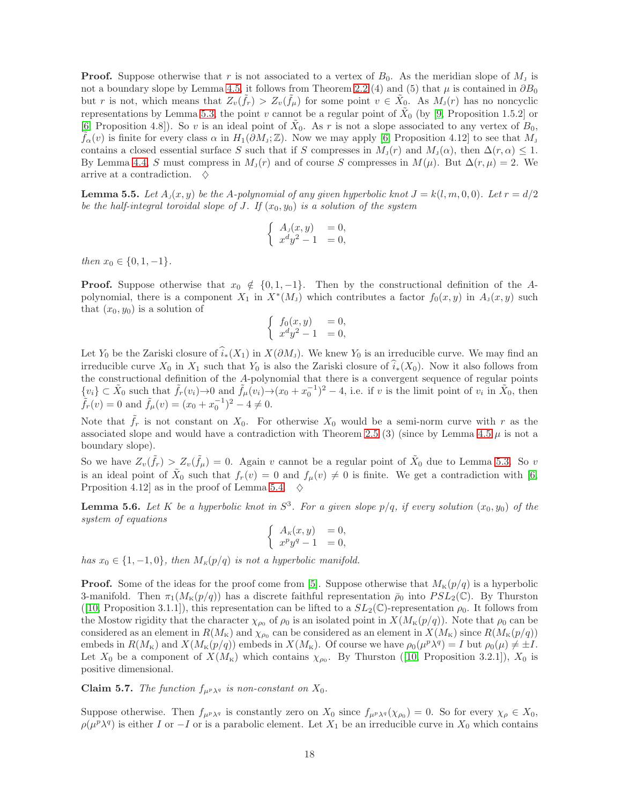**Proof.** Suppose otherwise that r is not associated to a vertex of  $B_0$ . As the meridian slope of  $M<sub>J</sub>$  is not a boundary slope by Lemma [4.5,](#page-14-3) it follows from Theorem [2.2](#page-3-0) (4) and (5) that  $\mu$  is contained in  $\partial B_0$ but r is not, which means that  $Z_v(\tilde{f}_r) > Z_v(\tilde{f}_\mu)$  for some point  $v \in \tilde{X}_0$ . As  $M_v(r)$  has no noncyclic representations by Lemma [5.3,](#page-16-4) the point v cannot be a regular point of  $\tilde{X}_0$  (by [\[9,](#page-28-13) Proposition 1.5.2] or [\[6,](#page-27-1) Proposition 4.8]). So v is an ideal point of  $\tilde{X}_0$ . As r is not a slope associated to any vertex of  $B_0$ ,  $f_{\alpha}(v)$  is finite for every class  $\alpha$  in  $H_1(\partial M_3; \mathbb{Z})$ . Now we may apply [\[6,](#page-27-1) Proposition 4.12] to see that  $M_3$ contains a closed essential surface S such that if S compresses in  $M_j(r)$  and  $M_j(\alpha)$ , then  $\Delta(r,\alpha) \leq 1$ . By Lemma [4.4,](#page-14-1) S must compress in  $M_j(r)$  and of course S compresses in  $M(\mu)$ . But  $\Delta(r,\mu) = 2$ . We arrive at a contradiction.  $\diamond$ 

<span id="page-17-1"></span>**Lemma 5.5.** Let  $A_j(x, y)$  be the A-polynomial of any given hyperbolic knot  $J = k(l, m, 0, 0)$ . Let  $r = d/2$ be the half-integral toroidal slope of J. If  $(x_0, y_0)$  is a solution of the system

$$
\begin{cases}\nA_J(x,y) &= 0, \\
x^d y^2 - 1 &= 0,\n\end{cases}
$$

then  $x_0 \in \{0, 1, -1\}.$ 

**Proof.** Suppose otherwise that  $x_0 \notin \{0, 1, -1\}$ . Then by the constructional definition of the Apolynomial, there is a component  $X_1$  in  $X^*(M_J)$  which contributes a factor  $f_0(x, y)$  in  $A_J(x, y)$  such that  $(x_0, y_0)$  is a solution of

$$
\begin{cases}\nf_0(x,y) &= 0, \\
x^dy^2 - 1 &= 0,\n\end{cases}
$$

Let Y<sub>0</sub> be the Zariski closure of  $\widehat{i}_*(X_1)$  in  $X(\partial M_J)$ . We knew Y<sub>0</sub> is an irreducible curve. We may find an irreducible curve  $X_0$  in  $X_1$  such that  $Y_0$  is also the Zariski closure of  $\widehat{i}_*(X_0)$ . Now it also follows from the constructional definition of the A-polynomial that there is a convergent sequence of regular points  $\{v_i\} \subset \tilde{X}_0$  such that  $\tilde{f}_r(v_i) \to 0$  and  $\tilde{f}_\mu(v_i) \to (x_0 + x_0^{-1})^2 - 4$ , i.e. if v is the limit point of  $v_i$  in  $\tilde{X}_0$ , then  $\tilde{f}_r(v) = 0$  and  $\tilde{f}_\mu(v) = (x_0 + x_0^{-1})^2 - 4 \neq 0$ .

Note that  $\hat{f}_r$  is not constant on  $X_0$ . For otherwise  $X_0$  would be a semi-norm curve with r as the associated slope and would have a contradiction with Theorem [2.5](#page-4-1) (3) (since by Lemma [4.5](#page-14-3)  $\mu$  is not a boundary slope).

So we have  $Z_v(\tilde{f}_r) > Z_v(\tilde{f}_\mu) = 0$ . Again v cannot be a regular point of  $\tilde{X}_0$  due to Lemma [5.3.](#page-16-4) So v is an ideal point of  $\tilde{X}_0$  such that  $f_r(v) = 0$  and  $f_\mu(v) \neq 0$  is finite. We get a contradiction with [\[6,](#page-27-1) Prposition 4.12 as in the proof of Lemma [5.4.](#page-16-5)  $\diamond$ 

<span id="page-17-2"></span>**Lemma 5.6.** Let K be a hyperbolic knot in  $S^3$ . For a given slope  $p/q$ , if every solution  $(x_0, y_0)$  of the system of equations

$$
\begin{cases}\nA_k(x,y) &= 0, \\
x^p y^q - 1 &= 0,\n\end{cases}
$$

has  $x_0 \in \{1, -1, 0\}$ , then  $M_K(p/q)$  is not a hyperbolic manifold.

**Proof.** Some of the ideas for the proof come from [\[5\]](#page-27-6). Suppose otherwise that  $M_{\kappa}(p/q)$  is a hyperbolic 3-manifold. Then  $\pi_1(M_K(p/q))$  has a discrete faithful representation  $\bar{\rho}_0$  into  $PSL_2(\mathbb{C})$ . By Thurston ([\[10,](#page-28-11) Proposition 3.1.1]), this representation can be lifted to a  $SL_2(\mathbb{C})$ -representation  $\rho_0$ . It follows from the Mostow rigidity that the character  $\chi_{\rho_0}$  of  $\rho_0$  is an isolated point in  $X(M_K(p/q))$ . Note that  $\rho_0$  can be considered as an element in  $R(M_{\rm K})$  and  $\chi_{\rho_0}$  can be considered as an element in  $X(M_{\rm K})$  since  $R(M_{\rm K}(p/q))$ embeds in  $R(M_K)$  and  $X(M_K(p/q))$  embeds in  $X(M_K)$ . Of course we have  $\rho_0(\mu^p \lambda^q) = I$  but  $\rho_0(\mu) \neq \pm I$ . Let $X_0$  be a component of  $X(M_{\kappa})$  which contains  $\chi_{\rho_0}$ . By Thurston ([\[10,](#page-28-11) Proposition 3.2.1]),  $X_0$  is positive dimensional.

<span id="page-17-0"></span>**Claim 5.7.** The function  $f_{\mu^p \lambda^q}$  is non-constant on  $X_0$ .

Suppose otherwise. Then  $f_{\mu^p \lambda^q}$  is constantly zero on  $X_0$  since  $f_{\mu^p \lambda^q}(\chi_{\rho_0}) = 0$ . So for every  $\chi_\rho \in X_0$ ,  $\rho(\mu^p \lambda^q)$  is either I or −I or is a parabolic element. Let  $X_1$  be an irreducible curve in  $X_0$  which contains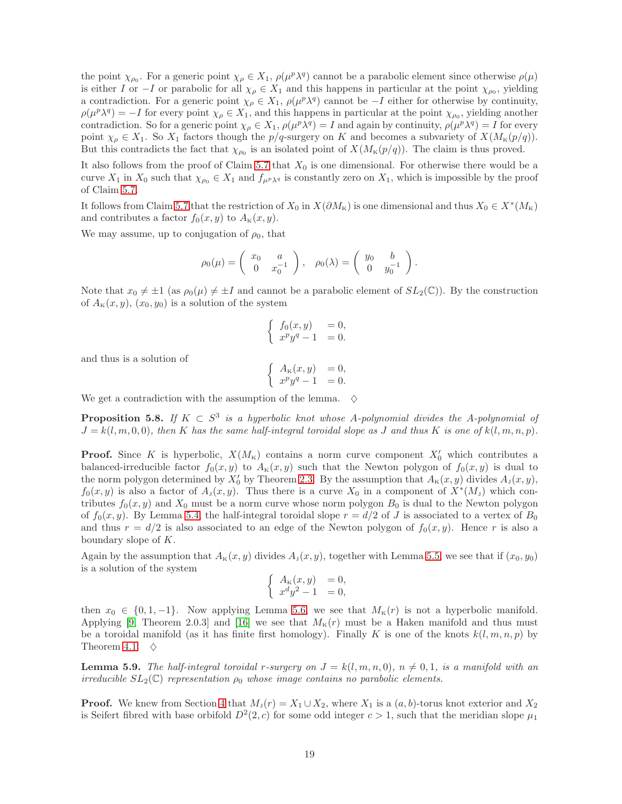the point  $\chi_{\rho_0}$ . For a generic point  $\chi_{\rho} \in X_1$ ,  $\rho(\mu^p \lambda^q)$  cannot be a parabolic element since otherwise  $\rho(\mu)$ is either I or  $-I$  or parabolic for all  $\chi_{\rho} \in X_1$  and this happens in particular at the point  $\chi_{\rho_0}$ , yielding a contradiction. For a generic point  $\chi_{\rho} \in X_1$ ,  $\rho(\mu^p \lambda^q)$  cannot be  $-I$  either for otherwise by continuity,  $\rho(\mu^p \lambda^q) = -I$  for every point  $\chi_\rho \in X_1$ , and this happens in particular at the point  $\chi_{\rho_0}$ , yielding another contradiction. So for a generic point  $\chi_{\rho} \in X_1$ ,  $\rho(\mu^p \lambda^q) = I$  and again by continuity,  $\rho(\mu^p \lambda^q) = I$  for every point  $\chi_{\rho} \in X_1$ . So  $X_1$  factors though the  $p/q$ -surgery on K and becomes a subvariety of  $X(M_{\kappa}(p/q))$ . But this contradicts the fact that  $\chi_{\rho_0}$  is an isolated point of  $X(M_K(p/q))$ . The claim is thus proved.

It also follows from the proof of Claim [5.7](#page-17-0) that  $X_0$  is one dimensional. For otherwise there would be a curve  $X_1$  in  $X_0$  such that  $\chi_{\rho_0} \in X_1$  and  $f_{\mu^p \lambda^q}$  is constantly zero on  $X_1$ , which is impossible by the proof of Claim [5.7.](#page-17-0)

It follows from Claim [5.7](#page-17-0) that the restriction of  $X_0$  in  $X(\partial M_{\kappa})$  is one dimensional and thus  $X_0 \in X^*(M_{\kappa})$ and contributes a factor  $f_0(x, y)$  to  $A_{\kappa}(x, y)$ .

We may assume, up to conjugation of  $\rho_0$ , that

$$
\rho_0(\mu) = \begin{pmatrix} x_0 & a \\ 0 & x_0^{-1} \end{pmatrix}, \quad \rho_0(\lambda) = \begin{pmatrix} y_0 & b \\ 0 & y_0^{-1} \end{pmatrix}.
$$

Note that  $x_0 \neq \pm 1$  (as  $\rho_0(\mu) \neq \pm I$  and cannot be a parabolic element of  $SL_2(\mathbb{C})$ ). By the construction of  $A_{\kappa}(x, y), (x_0, y_0)$  is a solution of the system

$$
\begin{cases}\nf_0(x,y) = 0, \\
x^p y^q - 1 = 0.\n\end{cases}
$$

and thus is a solution of

$$
\begin{cases}\nA_{\kappa}(x,y) &= 0, \\
x^p y^q - 1 &= 0.\n\end{cases}
$$

We get a contradiction with the assumption of the lemma.  $\diamond$ 

<span id="page-18-1"></span>**Proposition 5.8.** If  $K \subset S^3$  is a hyperbolic knot whose A-polynomial divides the A-polynomial of  $J = k(l, m, 0, 0)$ , then K has the same half-integral toroidal slope as J and thus K is one of  $k(l, m, n, p)$ .

**Proof.** Since K is hyperbolic,  $X(M_K)$  contains a norm curve component  $X'_0$  which contributes a balanced-irreducible factor  $f_0(x, y)$  to  $A_k(x, y)$  such that the Newton polygon of  $f_0(x, y)$  is dual to the norm polygon determined by  $X'_0$  by Theorem [2.3.](#page-4-2) By the assumption that  $A_{\kappa}(x, y)$  divides  $A_{\jmath}(x, y)$ ,  $f_0(x, y)$  is also a factor of  $A_1(x, y)$ . Thus there is a curve  $X_0$  in a component of  $X^*(M_1)$  which contributes  $f_0(x, y)$  and  $X_0$  must be a norm curve whose norm polygon  $B_0$  is dual to the Newton polygon of  $f_0(x, y)$ . By Lemma [5.4,](#page-16-5) the half-integral toroidal slope  $r = d/2$  of J is associated to a vertex of  $B_0$ and thus  $r = d/2$  is also associated to an edge of the Newton polygon of  $f_0(x, y)$ . Hence r is also a boundary slope of K.

Again by the assumption that  $A_{\kappa}(x, y)$  divides  $A_{\jmath}(x, y)$ , together with Lemma [5.5,](#page-17-1) we see that if  $(x_0, y_0)$ is a solution of the system

$$
\begin{cases}\nA_{\kappa}(x,y) &= 0, \\
x^dy^2 - 1 &= 0,\n\end{cases}
$$

then  $x_0 \in \{0, 1, -1\}$ . Now applying Lemma [5.6,](#page-17-2) we see that  $M_K(r)$  is not a hyperbolic manifold. Applying [\[9,](#page-28-13) Theorem 2.0.3] and [\[16\]](#page-28-19) we see that  $M_{\kappa}(r)$  must be a Haken manifold and thus must be a toroidal manifold (as it has finite first homology). Finally K is one of the knots  $k(l, m, n, p)$  by Theorem [4.1.](#page-11-2)  $\diamond$ 

<span id="page-18-0"></span>**Lemma 5.9.** The half-integral toroidal r-surgery on  $J = k(l, m, n, 0)$ ,  $n \neq 0, 1$ , is a manifold with an irreducible  $SL_2(\mathbb{C})$  representation  $\rho_0$  whose image contains no parabolic elements.

**Proof.** We knew from Section [4](#page-11-0) that  $M_j(r) = X_1 \cup X_2$ , where  $X_1$  is a  $(a, b)$ -torus knot exterior and  $X_2$ is Seifert fibred with base orbifold  $D^2(2, c)$  for some odd integer  $c > 1$ , such that the meridian slope  $\mu_1$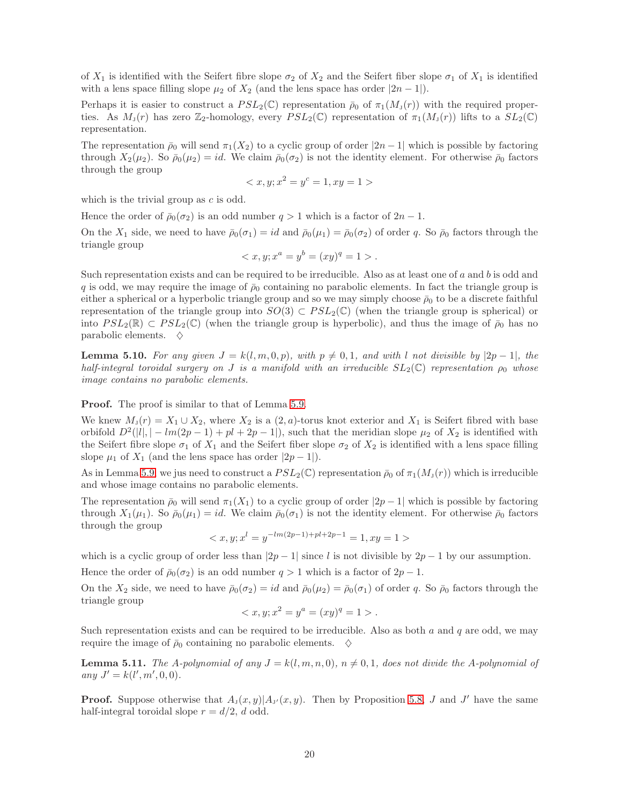of  $X_1$  is identified with the Seifert fibre slope  $\sigma_2$  of  $X_2$  and the Seifert fiber slope  $\sigma_1$  of  $X_1$  is identified with a lens space filling slope  $\mu_2$  of  $X_2$  (and the lens space has order  $|2n-1|$ ).

Perhaps it is easier to construct a  $PSL_2(\mathbb{C})$  representation  $\bar{\rho}_0$  of  $\pi_1(M_J(r))$  with the required properties. As  $M_J(r)$  has zero  $\mathbb{Z}_2$ -homology, every  $PSL_2(\mathbb{C})$  representation of  $\pi_1(M_J(r))$  lifts to a  $SL_2(\mathbb{C})$ representation.

The representation  $\bar{\rho}_0$  will send  $\pi_1(X_2)$  to a cyclic group of order  $|2n-1|$  which is possible by factoring through  $X_2(\mu_2)$ . So  $\bar{\rho}_0(\mu_2) = id$ . We claim  $\bar{\rho}_0(\sigma_2)$  is not the identity element. For otherwise  $\bar{\rho}_0$  factors through the group

$$
\langle x, y; x^2 = y^c = 1, xy = 1 \rangle
$$

which is the trivial group as  $c$  is odd.

Hence the order of  $\bar{\rho}_0(\sigma_2)$  is an odd number  $q > 1$  which is a factor of  $2n - 1$ .

On the  $X_1$  side, we need to have  $\bar{\rho}_0(\sigma_1) = id$  and  $\bar{\rho}_0(\mu_1) = \bar{\rho}_0(\sigma_2)$  of order q. So  $\bar{\rho}_0$  factors through the triangle group

$$
\langle x, y; x^a = y^b = (xy)^q = 1 \rangle.
$$

Such representation exists and can be required to be irreducible. Also as at least one of a and b is odd and q is odd, we may require the image of  $\bar{\rho}_0$  containing no parabolic elements. In fact the triangle group is either a spherical or a hyperbolic triangle group and so we may simply choose  $\bar{\rho}_0$  to be a discrete faithful representation of the triangle group into  $SO(3) \subset PSL_2(\mathbb{C})$  (when the triangle group is spherical) or into  $PSL_2(\mathbb{R}) \subset PSL_2(\mathbb{C})$  (when the triangle group is hyperbolic), and thus the image of  $\bar{\rho}_0$  has no parabolic elements.  $\diamondsuit$ 

<span id="page-19-0"></span>**Lemma 5.10.** For any given  $J = k(l, m, 0, p)$ , with  $p \neq 0, 1$ , and with l not divisible by  $|2p - 1|$ , the half-integral toroidal surgery on J is a manifold with an irreducible  $SL_2(\mathbb{C})$  representation  $\rho_0$  whose image contains no parabolic elements.

Proof. The proof is similar to that of Lemma [5.9.](#page-18-0)

We knew  $M_{\rm J}(r) = X_1 \cup X_2$ , where  $X_2$  is a  $(2, a)$ -torus knot exterior and  $X_1$  is Seifert fibred with base orbifold  $D^2(|l|, |-lm(2p-1)+pl+2p-1|)$ , such that the meridian slope  $\mu_2$  of  $X_2$  is identified with the Seifert fibre slope  $\sigma_1$  of  $X_1$  and the Seifert fiber slope  $\sigma_2$  of  $X_2$  is identified with a lens space filling slope  $\mu_1$  of  $X_1$  (and the lens space has order  $|2p-1|$ ).

As in Lemma [5.9,](#page-18-0) we jus need to construct a  $PSL_2(\mathbb{C})$  representation  $\bar{\rho}_0$  of  $\pi_1(M_J(r))$  which is irreducible and whose image contains no parabolic elements.

The representation  $\bar{\rho}_0$  will send  $\pi_1(X_1)$  to a cyclic group of order  $|2p-1|$  which is possible by factoring through  $X_1(\mu_1)$ . So  $\bar{\rho}_0(\mu_1) = id$ . We claim  $\bar{\rho}_0(\sigma_1)$  is not the identity element. For otherwise  $\bar{\rho}_0$  factors through the group

$$
\langle x, y; x^l = y^{-lm(2p-1)+pl+2p-1} = 1, xy = 1 \rangle
$$

which is a cyclic group of order less than  $|2p-1|$  since l is not divisible by  $2p-1$  by our assumption.

Hence the order of  $\bar{\rho}_0(\sigma_2)$  is an odd number  $q > 1$  which is a factor of  $2p - 1$ .

On the  $X_2$  side, we need to have  $\bar{\rho}_0(\sigma_2) = id$  and  $\bar{\rho}_0(\mu_2) = \bar{\rho}_0(\sigma_1)$  of order q. So  $\bar{\rho}_0$  factors through the triangle group

$$
\langle x, y; x^2 = y^a = (xy)^q = 1 \rangle.
$$

Such representation exists and can be required to be irreducible. Also as both  $a$  and  $q$  are odd, we may require the image of  $\bar{\rho}_0$  containing no parabolic elements.  $\diamond$ 

<span id="page-19-1"></span>**Lemma 5.11.** The A-polynomial of any  $J = k(l, m, n, 0)$ ,  $n \neq 0, 1$ , does not divide the A-polynomial of any  $J' = k(l', m', 0, 0).$ 

**Proof.** Suppose otherwise that  $A_{J}(x, y)|A_{J}(x, y)$ . Then by Proposition [5.8,](#page-18-1) J and J' have the same half-integral toroidal slope  $r = d/2$ , d odd.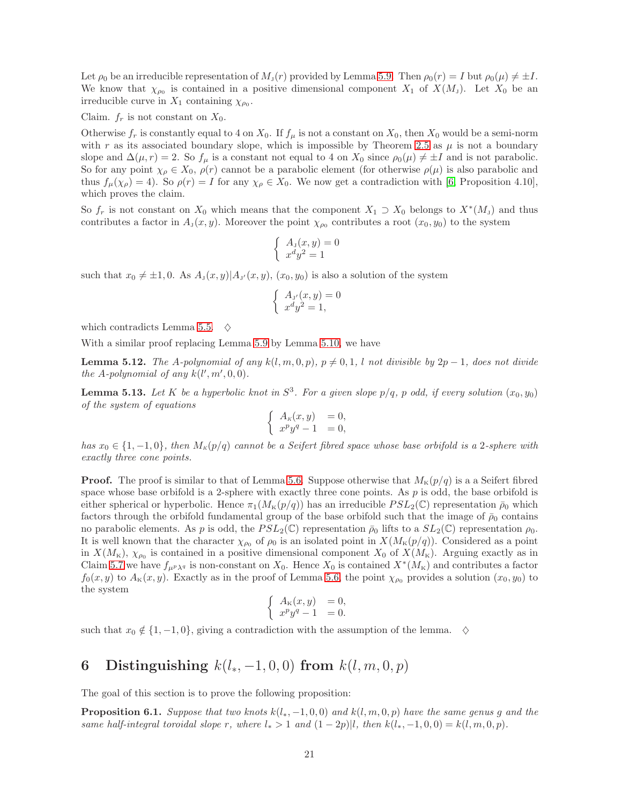Let  $\rho_0$  be an irreducible representation of  $M_J(r)$  provided by Lemma [5.9.](#page-18-0) Then  $\rho_0(r) = I$  but  $\rho_0(\mu) \neq \pm I$ . We know that  $\chi_{\rho_0}$  is contained in a positive dimensional component  $X_1$  of  $X(M_1)$ . Let  $X_0$  be an irreducible curve in  $X_1$  containing  $\chi_{\rho_0}$ .

Claim.  $f_r$  is not constant on  $X_0$ .

Otherwise  $f_r$  is constantly equal to 4 on  $X_0$ . If  $f_\mu$  is not a constant on  $X_0$ , then  $X_0$  would be a semi-norm with r as its associated boundary slope, which is impossible by Theorem [2.5](#page-4-1) as  $\mu$  is not a boundary slope and  $\Delta(\mu, r) = 2$ . So  $f_{\mu}$  is a constant not equal to 4 on  $X_0$  since  $\rho_0(\mu) \neq \pm I$  and is not parabolic. So for any point  $\chi_{\rho} \in X_0$ ,  $\rho(r)$  cannot be a parabolic element (for otherwise  $\rho(\mu)$  is also parabolic and thus  $f_{\mu}(\chi_{\rho}) = 4$ ). So  $\rho(r) = I$  for any  $\chi_{\rho} \in X_0$ . We now get a contradiction with [\[6,](#page-27-1) Proposition 4.10], which proves the claim.

So  $f_r$  is not constant on  $X_0$  which means that the component  $X_1 \supset X_0$  belongs to  $X^*(M_J)$  and thus contributes a factor in  $A_j(x, y)$ . Moreover the point  $\chi_{\rho_0}$  contributes a root  $(x_0, y_0)$  to the system

$$
\begin{cases}\nA_{\mathrm{J}}(x,y)=0\\ \nx^d y^2=1\n\end{cases}
$$

such that  $x_0 \neq \pm 1, 0$ . As  $A_J(x, y)|A_{J'}(x, y), (x_0, y_0)$  is also a solution of the system

$$
\begin{cases}\nA_{J'}(x,y) = 0\\ \nx^d y^2 = 1,\n\end{cases}
$$

which contradicts Lemma [5.5.](#page-17-1)  $\diamond$ 

With a similar proof replacing Lemma [5.9](#page-18-0) by Lemma [5.10,](#page-19-0) we have

<span id="page-20-2"></span>**Lemma 5.12.** The A-polynomial of any  $k(l, m, 0, p)$ ,  $p \neq 0, 1, l$  not divisible by  $2p - 1$ , does not divide the A-polynomial of any  $k(l',m',0,0)$ .

<span id="page-20-3"></span>**Lemma 5.13.** Let K be a hyperbolic knot in  $S^3$ . For a given slope  $p/q$ , p odd, if every solution  $(x_0, y_0)$ of the system of equations

$$
\begin{cases}\nA_k(x,y) &= 0, \\
x^p y^q - 1 &= 0,\n\end{cases}
$$

has  $x_0 \in \{1, -1, 0\}$ , then  $M_K(p/q)$  cannot be a Seifert fibred space whose base orbifold is a 2-sphere with exactly three cone points.

**Proof.** The proof is similar to that of Lemma [5.6.](#page-17-2) Suppose otherwise that  $M_K(p/q)$  is a a Seifert fibred space whose base orbifold is a 2-sphere with exactly three cone points. As  $p$  is odd, the base orbifold is either spherical or hyperbolic. Hence  $\pi_1(M_K(p/q))$  has an irreducible  $PSL_2(\mathbb{C})$  representation  $\bar{\rho}_0$  which factors through the orbifold fundamental group of the base orbifold such that the image of  $\bar{\rho}_0$  contains no parabolic elements. As p is odd, the  $PSL_2(\mathbb{C})$  representation  $\bar{\rho}_0$  lifts to a  $SL_2(\mathbb{C})$  representation  $\rho_0$ . It is well known that the character  $\chi_{\rho_0}$  of  $\rho_0$  is an isolated point in  $X(M_K(p/q))$ . Considered as a point in  $X(M_{\rm K})$ ,  $\chi_{\rho_0}$  is contained in a positive dimensional component  $X_0$  of  $X(M_{\rm K})$ . Arguing exactly as in Claim [5.7](#page-17-0) we have  $f_{\mu^p\lambda^q}$  is non-constant on  $X_0$ . Hence  $X_0$  is contained  $X^*(M_K)$  and contributes a factor  $f_0(x, y)$  to  $A_{\kappa}(x, y)$ . Exactly as in the proof of Lemma [5.6,](#page-17-2) the point  $\chi_{\rho_0}$  provides a solution  $(x_0, y_0)$  to the system

$$
\begin{cases}\nA_{\kappa}(x,y) &= 0, \\
x^p y^q - 1 &= 0.\n\end{cases}
$$

such that  $x_0 \notin \{1, -1, 0\}$ , giving a contradiction with the assumption of the lemma.  $\diamond$ 

# <span id="page-20-0"></span>6 Distinguishing  $k(l_*,-1,0,0)$  from  $k(l,m,0,p)$

The goal of this section is to prove the following proposition:

<span id="page-20-1"></span>**Proposition 6.1.** Suppose that two knots  $k(l_*,-1,0,0)$  and  $k(l,m,0,p)$  have the same genus g and the same half-integral toroidal slope r, where  $l_* > 1$  and  $(1 - 2p) | l$ , then  $k(l_*, -1, 0, 0) = k(l, m, 0, p)$ .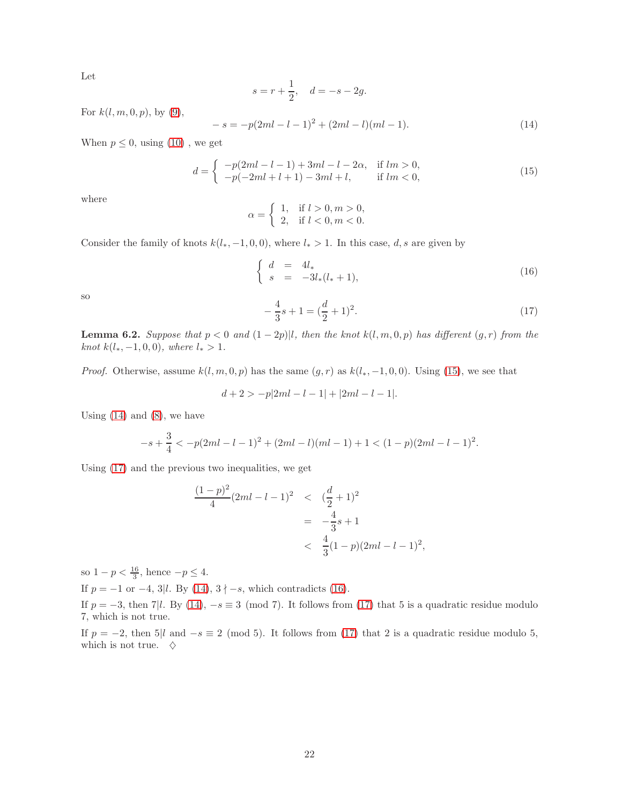Let

$$
s = r + \frac{1}{2}
$$
,  $d = -s - 2g$ .

For  $k(l, m, 0, p)$ , by [\(9\)](#page-11-3),

<span id="page-21-1"></span>
$$
-s = -p(2ml - l - 1)^{2} + (2ml - l)(ml - 1).
$$
\n(14)

When  $p \leq 0$ , using  $(10)$ , we get

<span id="page-21-0"></span>
$$
d = \begin{cases} -p(2ml - l - 1) + 3ml - l - 2\alpha, & \text{if } lm > 0, \\ -p(-2ml + l + 1) - 3ml + l, & \text{if } lm < 0, \end{cases}
$$
(15)

where

$$
\alpha = \begin{cases} 1, & \text{if } l > 0, m > 0, \\ 2, & \text{if } l < 0, m < 0. \end{cases}
$$

Consider the family of knots  $k(l_*, -1, 0, 0)$ , where  $l_* > 1$ . In this case, d, s are given by

<span id="page-21-3"></span>
$$
\begin{cases}\n d &= 4l_* \\
 s &= -3l_*(l_*+1),\n\end{cases}\n\tag{16}
$$

so

<span id="page-21-2"></span>
$$
-\frac{4}{3}s + 1 = (\frac{d}{2} + 1)^2.
$$
 (17)

<span id="page-21-4"></span>**Lemma 6.2.** Suppose that  $p < 0$  and  $(1 - 2p)$ , then the knot  $k(l, m, 0, p)$  has different  $(g, r)$  from the knot  $k(l_*, -1, 0, 0)$ , where  $l_* > 1$ .

*Proof.* Otherwise, assume  $k(l, m, 0, p)$  has the same  $(g, r)$  as  $k(l_*, -1, 0, 0)$ . Using [\(15\)](#page-21-0), we see that

$$
d + 2 > -p|2ml - l - 1| + |2ml - l - 1|.
$$

Using  $(14)$  and  $(8)$ , we have

$$
-s+\frac{3}{4}<-p(2ml-l-1)^2+(2ml-l)(ml-1)+1<(1-p)(2ml-l-1)^2.
$$

Using [\(17\)](#page-21-2) and the previous two inequalities, we get

$$
\frac{(1-p)^2}{4}(2ml-l-1)^2 \quad < \quad \left(\frac{d}{2}+1\right)^2
$$
\n
$$
= \quad -\frac{4}{3}s+1
$$
\n
$$
< \quad \frac{4}{3}(1-p)(2ml-l-1)^2,
$$

so  $1 - p < \frac{16}{3}$ , hence  $-p \le 4$ .

If  $p = -1$  or  $-4$ , 3|l. By [\(14\)](#page-21-1),  $3 \nmid -s$ , which contradicts [\(16\)](#page-21-3).

If  $p = -3$ , then 7|l. By [\(14\)](#page-21-1),  $-s \equiv 3 \pmod{7}$ . It follows from [\(17\)](#page-21-2) that 5 is a quadratic residue modulo 7, which is not true.

If  $p = -2$ , then 5|l and  $-s \equiv 2 \pmod{5}$ . It follows from [\(17\)](#page-21-2) that 2 is a quadratic residue modulo 5, which is not true.  $\diamondsuit$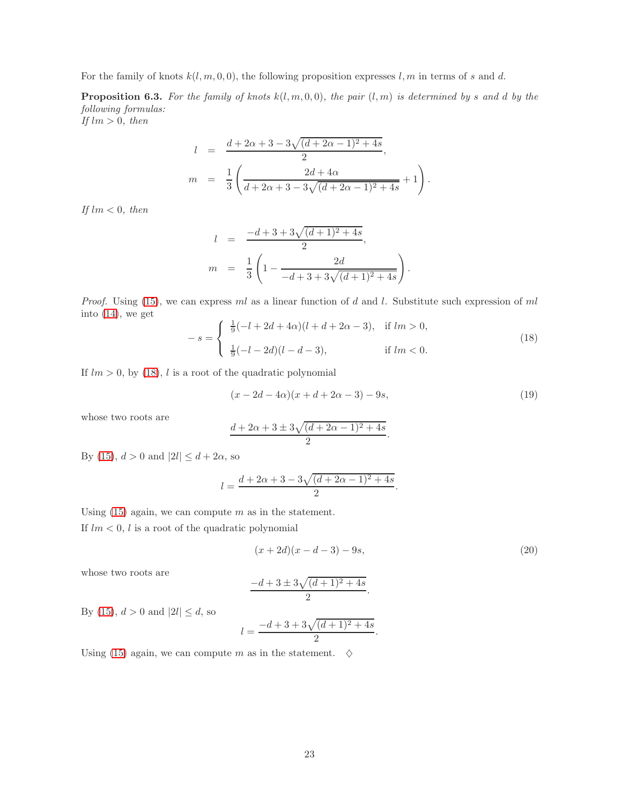For the family of knots  $k(l, m, 0, 0)$ , the following proposition expresses l, m in terms of s and d.

<span id="page-22-1"></span>**Proposition 6.3.** For the family of knots  $k(l, m, 0, 0)$ , the pair  $(l, m)$  is determined by s and d by the following formulas:

If  $lm > 0$ , then

$$
l = \frac{d + 2\alpha + 3 - 3\sqrt{(d + 2\alpha - 1)^2 + 4s}}{2},
$$
  
\n
$$
m = \frac{1}{3} \left( \frac{2d + 4\alpha}{d + 2\alpha + 3 - 3\sqrt{(d + 2\alpha - 1)^2 + 4s}} + 1 \right).
$$

If  $lm < 0$ , then

$$
l = \frac{-d+3+3\sqrt{(d+1)^2+4s}}{2},
$$
  
\n
$$
m = \frac{1}{3} \left( 1 - \frac{2d}{-d+3+3\sqrt{(d+1)^2+4s}} \right).
$$

*Proof.* Using [\(15\)](#page-21-0), we can express ml as a linear function of d and l. Substitute such expression of ml into [\(14\)](#page-21-1), we get

<span id="page-22-0"></span>
$$
-s = \begin{cases} \frac{1}{9}(-l+2d+4\alpha)(l+d+2\alpha-3), & \text{if } lm > 0, \\ \frac{1}{9}(-l-2d)(l-d-3), & \text{if } lm < 0. \end{cases}
$$
(18)

If  $lm > 0$ , by [\(18\)](#page-22-0), l is a root of the quadratic polynomial

$$
(x - 2d - 4\alpha)(x + d + 2\alpha - 3) - 9s,
$$
\n(19)

whose two roots are

$$
\frac{d + 2\alpha + 3 \pm 3\sqrt{(d + 2\alpha - 1)^2 + 4s}}{2}.
$$

By [\(15\)](#page-21-0),  $d > 0$  and  $|2l| \leq d + 2\alpha$ , so

$$
l = \frac{d + 2\alpha + 3 - 3\sqrt{(d + 2\alpha - 1)^2 + 4s}}{2}
$$

Using  $(15)$  again, we can compute m as in the statement.

If  $lm < 0$ , l is a root of the quadratic polynomial

$$
(x+2d)(x-d-3)-9s,
$$
\n(20)

.

.

whose two roots are

$$
\frac{-d+3 \pm 3\sqrt{(d+1)^2 + 4s}}{2}
$$

By [\(15\)](#page-21-0),  $d > 0$  and  $|2l| \leq d$ , so

$$
l = \frac{-d + 3 + 3\sqrt{(d+1)^2 + 4s}}{2}.
$$

Using [\(15\)](#page-21-0) again, we can compute m as in the statement.  $\diamond$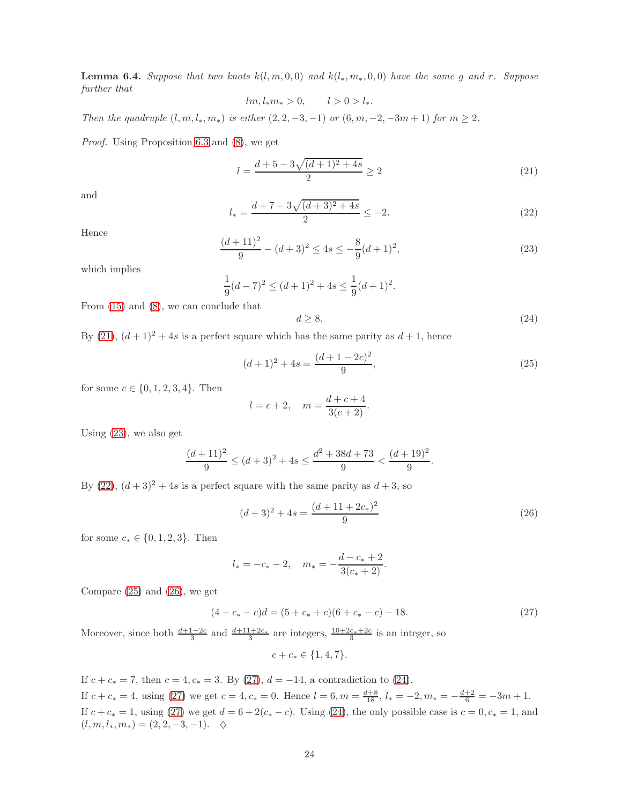<span id="page-23-7"></span>**Lemma 6.4.** Suppose that two knots  $k(l, m, 0, 0)$  and  $k(l_*, m_*, 0, 0)$  have the same g and r. Suppose further that

 $lm, l_*m_* > 0, \qquad l > 0 > l_*.$ 

Then the quadruple  $(l, m, l_*, m_*)$  is either  $(2, 2, -3, -1)$  or  $(6, m, -2, -3m + 1)$  for  $m \ge 2$ .

Proof. Using Proposition [6.3](#page-22-1) and [\(8\)](#page-11-4), we get

<span id="page-23-0"></span>
$$
l = \frac{d+5 - 3\sqrt{(d+1)^2 + 4s}}{2} \ge 2\tag{21}
$$

and

<span id="page-23-2"></span>
$$
l_* = \frac{d+7-3\sqrt{(d+3)^2+4s}}{2} \le -2.
$$
 (22)

Hence

<span id="page-23-1"></span>
$$
\frac{(d+11)^2}{9} - (d+3)^2 \le 4s \le -\frac{8}{9}(d+1)^2,
$$
\n(23)

which implies

$$
\frac{1}{9}(d-7)^2 \le (d+1)^2 + 4s \le \frac{1}{9}(d+1)^2.
$$

From [\(15\)](#page-21-0) and [\(8\)](#page-11-4), we can conclude that

<span id="page-23-6"></span>
$$
d \ge 8. \tag{24}
$$

By [\(21\)](#page-23-0),  $(d+1)^2 + 4s$  is a perfect square which has the same parity as  $d+1$ , hence

<span id="page-23-3"></span>
$$
(d+1)^2 + 4s = \frac{(d+1-2c)^2}{9},
$$
\n(25)

for some  $c \in \{0, 1, 2, 3, 4\}$ . Then

$$
l = c + 2
$$
,  $m = \frac{d + c + 4}{3(c + 2)}$ .

Using [\(23\)](#page-23-1), we also get

$$
\frac{(d+11)^2}{9} \le (d+3)^2 + 4s \le \frac{d^2 + 38d + 73}{9} < \frac{(d+19)^2}{9}.
$$

By [\(22\)](#page-23-2),  $(d+3)^2 + 4s$  is a perfect square with the same parity as  $d+3$ , so

<span id="page-23-4"></span>
$$
(d+3)^2 + 4s = \frac{(d+11+2c_*)^2}{9}
$$
 (26)

for some  $c_* \in \{0, 1, 2, 3\}$ . Then

$$
l_* = -c_* - 2
$$
,  $m_* = -\frac{d - c_* + 2}{3(c_* + 2)}$ .

Compare [\(25\)](#page-23-3) and [\(26\)](#page-23-4), we get

<span id="page-23-5"></span>
$$
(4 - c* - c)d = (5 + c* + c)(6 + c* - c) - 18.
$$
\n(27)

Moreover, since both  $\frac{d+1-2c}{3}$  and  $\frac{d+11+2c_*}{3}$  are integers,  $\frac{10+2c_*+2c}{3}$  is an integer, so

$$
c + c_* \in \{1, 4, 7\}.
$$

If  $c + c_* = 7$ , then  $c = 4, c_* = 3$ . By [\(27\)](#page-23-5),  $d = -14$ , a contradiction to [\(24\)](#page-23-6). If  $c + c_* = 4$ , using [\(27\)](#page-23-5) we get  $c = 4$ ,  $c_* = 0$ . Hence  $l = 6$ ,  $m = \frac{d+8}{18}$ ,  $l_* = -2$ ,  $m_* = -\frac{d+2}{6} = -3m + 1$ . If  $c + c_* = 1$ , using [\(27\)](#page-23-5) we get  $d = 6 + 2(c_* - c)$ . Using [\(24\)](#page-23-6), the only possible case is  $c = 0, c_* = 1$ , and  $(l, m, l_*, m_*) = (2, 2, -3, -1).$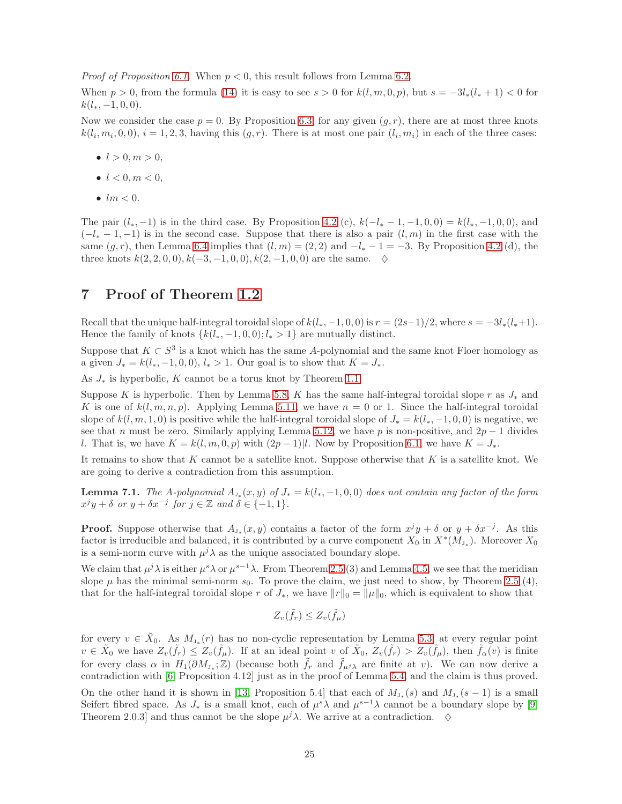*Proof of Proposition [6.1.](#page-20-1)* When  $p < 0$ , this result follows from Lemma [6.2.](#page-21-4)

When  $p > 0$ , from the formula [\(14\)](#page-21-1) it is easy to see  $s > 0$  for  $k(l, m, 0, p)$ , but  $s = -3l_*(l_* + 1) < 0$  for  $k(l_*, -1, 0, 0).$ 

Now we consider the case  $p = 0$ . By Proposition [6.3,](#page-22-1) for any given  $(g, r)$ , there are at most three knots  $k(l_i, m_i, 0, 0)$ ,  $i = 1, 2, 3$ , having this  $(g, r)$ . There is at most one pair  $(l_i, m_i)$  in each of the three cases:

- $l > 0, m > 0,$
- $l < 0, m < 0,$
- $\bullet$  lm  $< 0$ .

The pair  $(l_*, -1)$  is in the third case. By Proposition [4.2](#page-11-1) (c),  $k(-l_* -1, -1, 0, 0) = k(l_*, -1, 0, 0)$ , and  $(-l_{*}-1,-1)$  is in the second case. Suppose that there is also a pair  $(l,m)$  in the first case with the same  $(g, r)$ , then Lemma [6.4](#page-23-7) implies that  $(l, m) = (2, 2)$  and  $-l_* - 1 = -3$ . By Proposition [4.2](#page-11-1) (d), the three knots  $k(2, 2, 0, 0), k(-3, -1, 0, 0), k(2, -1, 0, 0)$  are the same.  $\diamondsuit$ 

## <span id="page-24-0"></span>7 Proof of Theorem [1.2](#page-0-1)

Recall that the unique half-integral toroidal slope of  $k(l_*, -1, 0, 0)$  is  $r = (2s-1)/2$ , where  $s = -3l_*(l_*+1)$ . Hence the family of knots  $\{k(l_*, -1, 0, 0); l_* > 1\}$  are mutually distinct.

Suppose that  $K \subset S^3$  is a knot which has the same A-polynomial and the same knot Floer homology as a given  $J_* = k(l_*, -1, 0, 0), l_* > 1$ . Our goal is to show that  $K = J_*$ .

As  $J_*$  is hyperbolic, K cannot be a torus knot by Theorem [1.1.](#page-0-0)

Suppose K is hyperbolic. Then by Lemma [5.8,](#page-18-1) K has the same half-integral toroidal slope r as  $J_*$  and K is one of  $k(l, m, n, p)$ . Applying Lemma [5.11,](#page-19-1) we have  $n = 0$  or 1. Since the half-integral toroidal slope of  $k(l, m, 1, 0)$  is positive while the half-integral toroidal slope of  $J_* = k(l_*, -1, 0, 0)$  is negative, we see that n must be zero. Similarly applying Lemma [5.12,](#page-20-2) we have p is non-positive, and  $2p - 1$  divides l. That is, we have  $K = k(l, m, 0, p)$  with  $(2p - 1)|l$ . Now by Proposition [6.1,](#page-20-1) we have  $K = J_*$ .

It remains to show that K cannot be a satellite knot. Suppose otherwise that K is a satellite knot. We are going to derive a contradiction from this assumption.

<span id="page-24-1"></span>**Lemma 7.1.** The A-polynomial  $A_{J*}(x, y)$  of  $J_* = k(l_*, -1, 0, 0)$  does not contain any factor of the form  $x^jy + \delta$  or  $y + \delta x^{-j}$  for  $j \in \mathbb{Z}$  and  $\delta \in \{-1, 1\}.$ 

**Proof.** Suppose otherwise that  $A_{J_*}(x, y)$  contains a factor of the form  $x^jy + \delta$  or  $y + \delta x^{-j}$ . As this factor is irreducible and balanced, it is contributed by a curve component  $X_0$  in  $X^*(M_{J_*})$ . Moreover  $X_0$ is a semi-norm curve with  $\mu^j \lambda$  as the unique associated boundary slope.

We claim that  $\mu^j \lambda$  is either  $\mu^s \lambda$  or  $\mu^{s-1} \lambda$ . From Theorem [2.5](#page-4-1) (3) and Lemma [4.5,](#page-14-3) we see that the meridian slope  $\mu$  has the minimal semi-norm  $s_0$ . To prove the claim, we just need to show, by Theorem [2.5](#page-4-1) (4), that for the half-integral toroidal slope r of  $J_*$ , we have  $||r||_0 = ||\mu||_0$ , which is equivalent to show that

$$
Z_v(\tilde{f}_r) \le Z_v(\tilde{f}_\mu)
$$

for every  $v \in \tilde{X}_0$ . As  $M_{J_*}(r)$  has no non-cyclic representation by Lemma [5.3,](#page-16-4) at every regular point  $v \in \tilde{X}_0$  we have  $Z_v(\tilde{f}_r) \leq Z_v(\tilde{f}_\mu)$ . If at an ideal point v of  $\tilde{X}_0$ ,  $Z_v(\tilde{f}_r) > Z_v(\tilde{f}_\mu)$ , then  $\tilde{f}_\alpha(v)$  is finite for every class  $\alpha$  in  $H_1(\partial M_{J_*};\mathbb{Z})$  (because both  $\tilde{f}_r$  and  $\tilde{f}_{\mu^j\lambda}$  are finite at v). We can now derive a contradiction with [\[6,](#page-27-1) Proposition 4.12] just as in the proof of Lemma [5.4,](#page-16-5) and the claim is thus proved. On the other hand it is shown in [\[13,](#page-28-6) Proposition 5.4] that each of  $M_{J_*}(s)$  and  $M_{J_*}(s-1)$  is a small Seifert fibred space. As  $J_*$  is a small knot, each of  $\mu^s \lambda$  and  $\mu^{s-1} \lambda$  cannot be a boundary slope by [\[9,](#page-28-13) Theorem 2.0.3] and thus cannot be the slope  $\mu^j \lambda$ . We arrive at a contradiction.  $\diamond$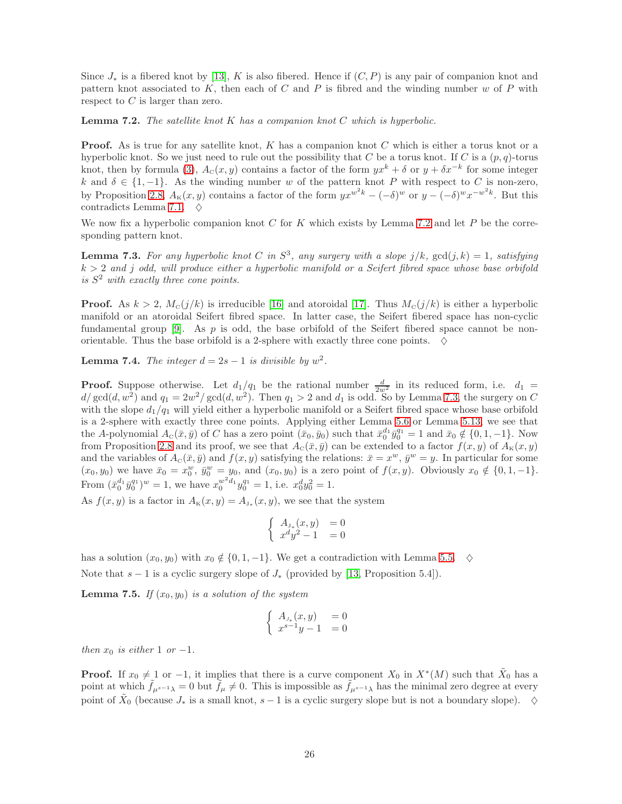Since  $J_*$  is a fibered knot by [\[13\]](#page-28-6), K is also fibered. Hence if  $(C, P)$  is any pair of companion knot and pattern knot associated to  $K$ , then each of  $C$  and  $P$  is fibred and the winding number  $w$  of  $P$  with respect to  $C$  is larger than zero.

<span id="page-25-0"></span>**Lemma 7.2.** The satellite knot  $K$  has a companion knot  $C$  which is hyperbolic.

**Proof.** As is true for any satellite knot,  $K$  has a companion knot  $C$  which is either a torus knot or a hyperbolic knot. So we just need to rule out the possibility that C be a torus knot. If C is a  $(p, q)$ -torus knot, then by formula [\(3\)](#page-2-2),  $A_c(x, y)$  contains a factor of the form  $yx^k + \delta$  or  $y + \delta x^{-k}$  for some integer k and  $\delta \in \{1, -1\}$ . As the winding number w of the pattern knot P with respect to C is non-zero, by Proposition [2.8,](#page-5-1)  $A_{\kappa}(x, y)$  contains a factor of the form  $yx^{w^2k} - (-\delta)^w$  or  $y - (-\delta)^w x^{-w^2k}$ . But this contradicts Lemma [7.1.](#page-24-1)  $\diamond$ 

We now fix a hyperbolic companion knot  $C$  for  $K$  which exists by Lemma [7.2](#page-25-0) and let  $P$  be the corresponding pattern knot.

<span id="page-25-1"></span>**Lemma 7.3.** For any hyperbolic knot C in  $S^3$ , any surgery with a slope  $j/k$ ,  $gcd(j, k) = 1$ , satisfying  $k > 2$  and j odd, will produce either a hyperbolic manifold or a Seifert fibred space whose base orbifold is S <sup>2</sup> with exactly three cone points.

**Proof.** As  $k > 2$ ,  $M_c(j/k)$  is irreducible [\[16\]](#page-28-19) and atoroidal [\[17\]](#page-28-7). Thus  $M_c(j/k)$  is either a hyperbolic manifold or an atoroidal Seifert fibred space. In latter case, the Seifert fibered space has non-cyclic fundamental group [\[9\]](#page-28-13). As  $p$  is odd, the base orbifold of the Seifert fibered space cannot be nonorientable. Thus the base orbifold is a 2-sphere with exactly three cone points.  $\diamondsuit$ 

<span id="page-25-2"></span>**Lemma 7.4.** The integer  $d = 2s - 1$  is divisible by  $w^2$ .

**Proof.** Suppose otherwise. Let  $d_1/q_1$  be the rational number  $\frac{d}{2w^2}$  in its reduced form, i.e.  $d_1 =$  $d/\gcd(d, w^2)$  and  $q_1 = 2w^2/\gcd(d, w^2)$ . Then  $q_1 > 2$  and  $d_1$  is odd. So by Lemma [7.3,](#page-25-1) the surgery on C with the slope  $d_1/q_1$  will yield either a hyperbolic manifold or a Seifert fibred space whose base orbifold is a 2-sphere with exactly three cone points. Applying either Lemma [5.6](#page-17-2) or Lemma [5.13,](#page-20-3) we see that the A-polynomial  $A_c(\bar{x}, \bar{y})$  of C has a zero point  $(\bar{x}_0, \bar{y}_0)$  such that  $\bar{x}_0^{d_1} \bar{y}_0^{q_1} = 1$  and  $\bar{x}_0 \notin \{0, 1, -1\}$ . Now from Proposition [2.8](#page-5-1) and its proof, we see that  $A_c(\bar{x}, \bar{y})$  can be extended to a factor  $f(x, y)$  of  $A_{\kappa}(x, y)$ and the variables of  $A_c(\bar{x}, \bar{y})$  and  $f(x, y)$  satisfying the relations:  $\bar{x} = x^w$ ,  $\bar{y}^w = y$ . In particular for some  $(x_0, y_0)$  we have  $\bar{x}_0 = x_0^w$ ,  $\bar{y}_0^w = y_0$ , and  $(x_0, y_0)$  is a zero point of  $f(x, y)$ . Obviously  $x_0 \notin \{0, 1, -1\}$ . From  $(\bar{x}_0^{d_1} \bar{y}_0^{q_1})^w = 1$ , we have  $x_0^{w^2 d_1} y_0^{q_1} = 1$ , i.e.  $x_0^d y_0^2 = 1$ .

As  $f(x, y)$  is a factor in  $A_{\kappa}(x, y) = A_{J_*}(x, y)$ , we see that the system

$$
\begin{cases}\nA_{\mathbf{J}_*}(x, y) &= 0\\ \nx^d y^2 - 1 &= 0\n\end{cases}
$$

has a solution  $(x_0, y_0)$  with  $x_0 \notin \{0, 1, -1\}$ . We get a contradiction with Lemma [5.5.](#page-17-1)  $\diamond$ 

Note that  $s - 1$  is a cyclic surgery slope of  $J_*$  (provided by [\[13,](#page-28-6) Proposition 5.4]).

<span id="page-25-3"></span>**Lemma 7.5.** If  $(x_0, y_0)$  is a solution of the system

$$
\begin{cases}\nA_{J_*}(x,y) &= 0\\ \nx^{s-1}y - 1 &= 0\n\end{cases}
$$

then  $x_0$  is either 1 or -1.

**Proof.** If  $x_0 \neq 1$  or  $-1$ , it implies that there is a curve component  $X_0$  in  $X^*(M)$  such that  $\tilde{X}_0$  has a point at which  $\hat{f}_{\mu^{s-1}\lambda} = 0$  but  $\hat{f}_{\mu} \neq 0$ . This is impossible as  $\hat{f}_{\mu^{s-1}\lambda}$  has the minimal zero degree at every point of  $\tilde{X}_0$  (because  $J_*$  is a small knot,  $s-1$  is a cyclic surgery slope but is not a boundary slope).  $\diamond$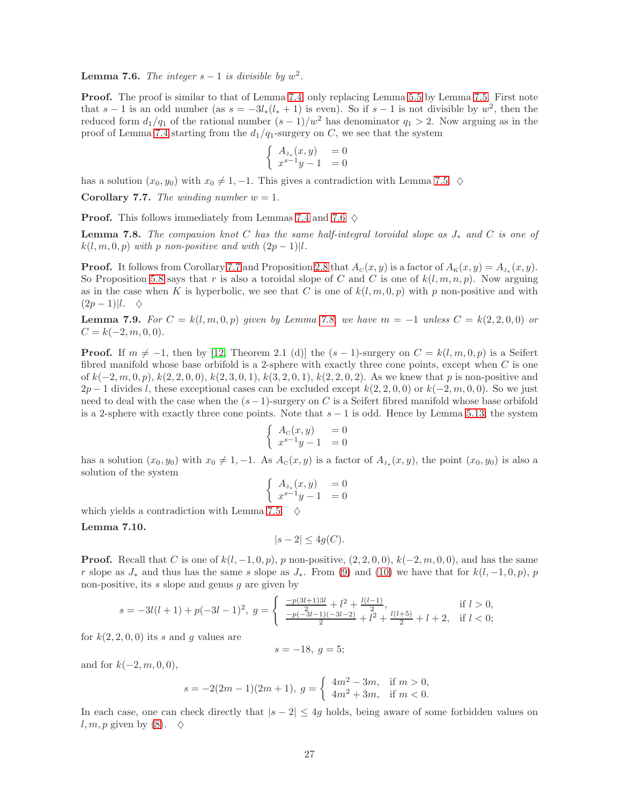<span id="page-26-0"></span>**Lemma 7.6.** The integer  $s-1$  is divisible by  $w^2$ .

**Proof.** The proof is similar to that of Lemma [7.4,](#page-25-2) only replacing Lemma [5.5](#page-17-1) by Lemma [7.5.](#page-25-3) First note that  $s-1$  is an odd number (as  $s = -3l_*(l_*+1)$  is even). So if  $s-1$  is not divisible by  $w^2$ , then the reduced form  $d_1/q_1$  of the rational number  $(s-1)/w^2$  has denominator  $q_1 > 2$ . Now arguing as in the proof of Lemma [7.4](#page-25-2) starting from the  $d_1/q_1$ -surgery on C, we see that the system

$$
\begin{cases}\nA_{\mathbf{J}_*}(x, y) &= 0\\ \nx^{s-1}y - 1 &= 0\n\end{cases}
$$

has a solution  $(x_0, y_0)$  with  $x_0 \neq 1, -1$ . This gives a contradiction with Lemma [7.5.](#page-25-3)  $\diamond$ 

<span id="page-26-1"></span>**Corollary 7.7.** The winding number  $w = 1$ .

**Proof.** This follows immediately from Lemmas [7.4](#page-25-2) and [7.6](#page-26-0)  $\diamond$ 

<span id="page-26-2"></span>**Lemma 7.8.** The companion knot C has the same half-integral toroidal slope as  $J_*$  and C is one of  $k(l, m, 0, p)$  with p non-positive and with  $(2p - 1)l$ .

**Proof.** It follows from Corollary [7.7](#page-26-1) and Proposition [2.8](#page-5-1) that  $A_c(x, y)$  is a factor of  $A_{\kappa}(x, y) = A_{J_*}(x, y)$ . So Proposition [5.8](#page-18-1) says that r is also a toroidal slope of C and C is one of  $k(l, m, n, p)$ . Now arguing as in the case when K is hyperbolic, we see that C is one of  $k(l, m, 0, p)$  with p non-positive and with  $(2p-1)|l. \quad \diamondsuit$ 

<span id="page-26-3"></span>**Lemma 7.9.** For  $C = k(l, m, 0, p)$  given by Lemma [7.8,](#page-26-2) we have  $m = -1$  unless  $C = k(2, 2, 0, 0)$  or  $C = k(-2, m, 0, 0).$ 

**Proof.** If  $m \neq -1$ , then by [\[12,](#page-28-5) Theorem 2.1 (d)] the  $(s - 1)$ -surgery on  $C = k(l, m, 0, p)$  is a Seifert fibred manifold whose base orbifold is a 2-sphere with exactly three cone points, except when  $C$  is one of  $k(-2, m, 0, p)$ ,  $k(2, 2, 0, 0)$ ,  $k(2, 3, 0, 1)$ ,  $k(3, 2, 0, 1)$ ,  $k(2, 2, 0, 2)$ . As we knew that p is non-positive and  $2p-1$  divides l, these exceptional cases can be excluded except  $k(2, 2, 0, 0)$  or  $k(-2, m, 0, 0)$ . So we just need to deal with the case when the  $(s-1)$ -surgery on C is a Seifert fibred manifold whose base orbifold is a 2-sphere with exactly three cone points. Note that  $s - 1$  is odd. Hence by Lemma [5.13,](#page-20-3) the system

$$
\left\{\begin{array}{ll} A_{\scriptscriptstyle \rm C}(x,y) &= 0 \\ x^{s-1}y-1 &= 0 \end{array}\right.
$$

has a solution  $(x_0, y_0)$  with  $x_0 \neq 1, -1$ . As  $A_c(x, y)$  is a factor of  $A_{J_*}(x, y)$ , the point  $(x_0, y_0)$  is also a solution of the system

$$
\begin{cases}\nA_{\mathbf{J}_*}(x, y) &= 0\\ \nx^{s-1}y - 1 &= 0\n\end{cases}
$$

which yields a contradiction with Lemma [7.5.](#page-25-3)  $\diamond$ 

#### <span id="page-26-4"></span>Lemma 7.10.

$$
|s - 2| \le 4g(C).
$$

**Proof.** Recall that C is one of  $k(l, -1, 0, p)$ , p non-positive,  $(2, 2, 0, 0)$ ,  $k(-2, m, 0, 0)$ , and has the same r slope as  $J_*$  and thus has the same s slope as  $J_*$ . From [\(9\)](#page-11-3) and [\(10\)](#page-13-0) we have that for  $k(l, -1, 0, p)$ , p non-positive, its  $s$  slope and genus  $g$  are given by

$$
s = -3l(l+1) + p(-3l-1)^2, \ g = \begin{cases} \frac{-p(3l+1)3l}{2} + l^2 + \frac{l(l-1)}{2}, & \text{if } l > 0, \\ \frac{-p(-3l-1)(-3l-2)}{2} + l^2 + \frac{l(l+5)}{2} + l + 2, & \text{if } l < 0; \end{cases}
$$

for  $k(2, 2, 0, 0)$  its s and g values are

$$
s = -18, \ g = 5;
$$

and for  $k(-2, m, 0, 0)$ ,

$$
s = -2(2m-1)(2m+1), \ g = \begin{cases} 4m^2 - 3m, & \text{if } m > 0, \\ 4m^2 + 3m, & \text{if } m < 0. \end{cases}
$$

In each case, one can check directly that  $|s - 2| \leq 4g$  holds, being aware of some forbidden values on l, m, p given by [\(8\)](#page-11-4).  $\diamond$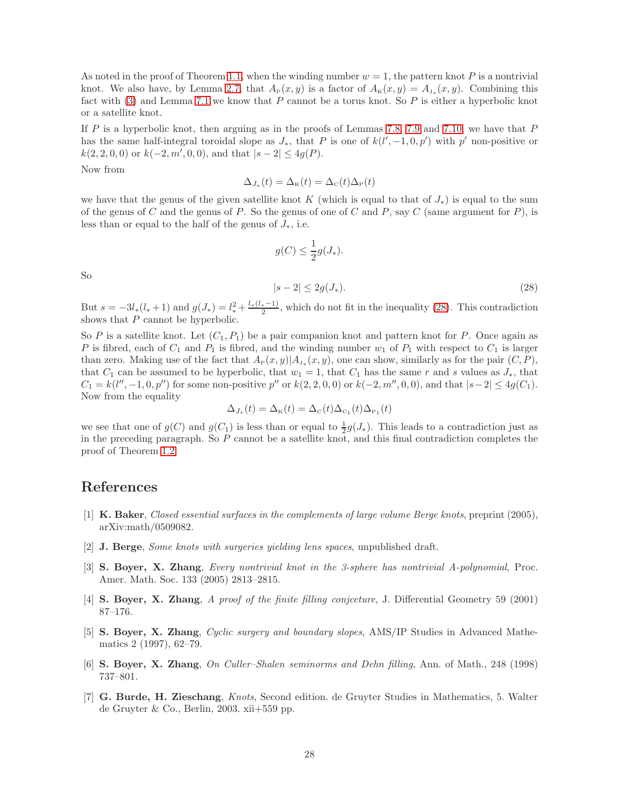As noted in the proof of Theorem [1.1,](#page-0-0) when the winding number  $w = 1$ , the pattern knot P is a nontrivial knot. We also have, by Lemma [2.7,](#page-5-0) that  $A_P(x, y)$  is a factor of  $A_K(x, y) = A_{J_*}(x, y)$ . Combining this fact with [\(3\)](#page-2-2) and Lemma [7.1](#page-24-1) we know that  $P$  cannot be a torus knot. So  $P$  is either a hyperbolic knot or a satellite knot.

If P is a hyperbolic knot, then arguing as in the proofs of Lemmas [7.8,](#page-26-2) [7.9](#page-26-3) and [7.10,](#page-26-4) we have that  $P$ has the same half-integral toroidal slope as  $J_*$ , that P is one of  $k(l', -1, 0, p')$  with p' non-positive or  $k(2, 2, 0, 0)$  or  $k(-2, m', 0, 0)$ , and that  $|s - 2| \leq 4g(P)$ .

Now from

$$
\Delta_{J_*}(t) = \Delta_{\rm K}(t) = \Delta_{\rm C}(t)\Delta_{\rm P}(t)
$$

we have that the genus of the given satellite knot K (which is equal to that of  $J_*$ ) is equal to the sum of the genus of C and the genus of P. So the genus of one of C and P, say C (same argument for  $P$ ), is less than or equal to the half of the genus of  $J_*$ , i.e.

$$
g(C) \le \frac{1}{2}g(J_*)
$$

So

<span id="page-27-7"></span>
$$
|s-2| \le 2g(J_*)\tag{28}
$$

But  $s = -3l_*(l_*+1)$  and  $g(J_*) = l_*^2 + \frac{l_*(l_*-1)}{2}$  $\frac{(-1)^{2}}{2}$ , which do not fit in the inequality [\(28\)](#page-27-7). This contradiction shows that  $P$  cannot be hyperbolic.

So P is a satellite knot. Let  $(C_1, P_1)$  be a pair companion knot and pattern knot for P. Once again as P is fibred, each of  $C_1$  and  $P_1$  is fibred, and the winding number  $w_1$  of  $P_1$  with respect to  $C_1$  is larger than zero. Making use of the fact that  $A_P(x, y)|A_{J_*}(x, y)$ , one can show, similarly as for the pair  $(C, P)$ , that  $C_1$  can be assumed to be hyperbolic, that  $w_1 = 1$ , that  $C_1$  has the same r and s values as  $J_*$ , that  $C_1 = k(l'', -1, 0, p'')$  for some non-positive  $p''$  or  $k(2, 2, 0, 0)$  or  $k(-2, m'', 0, 0)$ , and that  $|s-2| \leq 4g(C_1)$ . Now from the equality

$$
\Delta_{J_*}(t) = \Delta_{\rm K}(t) = \Delta_{\rm C}(t)\Delta_{\rm C_1}(t)\Delta_{\rm P_1}(t)
$$

we see that one of  $g(C)$  and  $g(C_1)$  is less than or equal to  $\frac{1}{2}g(J_*)$ . This leads to a contradiction just as in the preceding paragraph. So P cannot be a satellite knot, and this final contradiction completes the proof of Theorem [1.2.](#page-0-1)

### <span id="page-27-5"></span>References

- [1] K. Baker, Closed essential surfaces in the complements of large volume Berge knots, preprint (2005), arXiv:math/0509082.
- <span id="page-27-4"></span><span id="page-27-0"></span>[2] J. Berge, Some knots with surgeries yielding lens spaces, unpublished draft.
- [3] S. Boyer, X. Zhang, Every nontrivial knot in the 3-sphere has nontrivial A-polynomial, Proc. Amer. Math. Soc. 133 (2005) 2813–2815.
- <span id="page-27-6"></span><span id="page-27-2"></span>[4] S. Boyer, X. Zhang, A proof of the finite filling conjceture, J. Differential Geometry 59 (2001) 87–176.
- [5] S. Boyer, X. Zhang, Cyclic surgery and boundary slopes, AMS/IP Studies in Advanced Mathematics 2 (1997), 62–79.
- <span id="page-27-3"></span><span id="page-27-1"></span>[6] S. Boyer, X. Zhang, On Culler–Shalen seminorms and Dehn filling, Ann. of Math., 248 (1998) 737–801.
- [7] G. Burde, H. Zieschang, Knots, Second edition. de Gruyter Studies in Mathematics, 5. Walter de Gruyter & Co., Berlin, 2003. xii+559 pp.